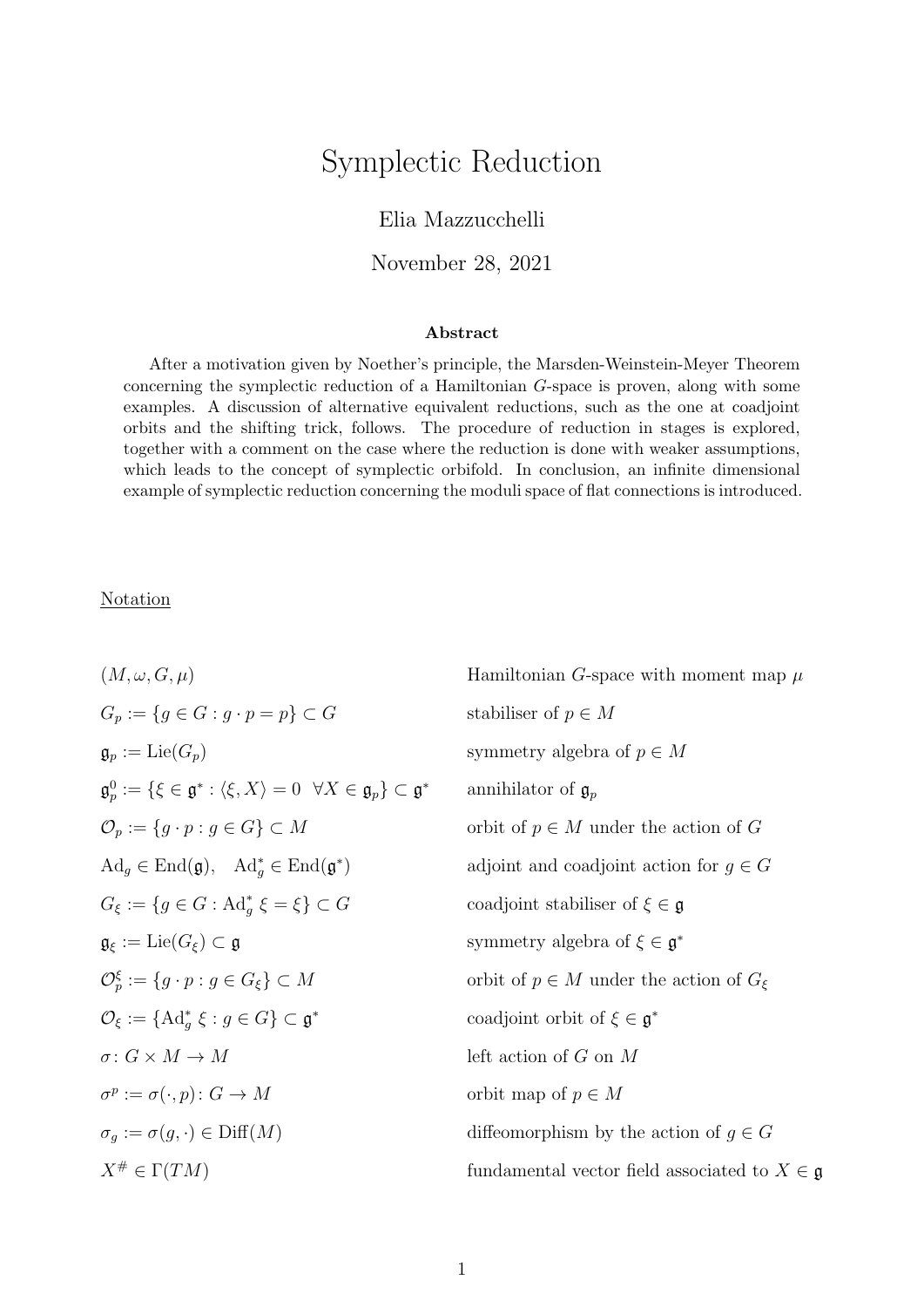# Symplectic Reduction

Elia Mazzucchelli

November 28, 2021

#### Abstract

After a motivation given by Noether's principle, the Marsden-Weinstein-Meyer Theorem concerning the symplectic reduction of a Hamiltonian G-space is proven, along with some examples. A discussion of alternative equivalent reductions, such as the one at coadjoint orbits and the shifting trick, follows. The procedure of reduction in stages is explored, together with a comment on the case where the reduction is done with weaker assumptions, which leads to the concept of symplectic orbifold. In conclusion, an infinite dimensional example of symplectic reduction concerning the moduli space of flat connections is introduced.

#### Notation

$$
(M, \omega, G, \mu)
$$
 Hamiltonian *G*-space with moment map  $\mu$   
\n $G_p := \{g \in G : g \cdot p = p\} \subset G$  stabiliser of  $p \in M$   
\n $\mathfrak{g}_p := \text{Lie}(G_p)$  symmetry algebra of  $p \in M$   
\n $\mathfrak{g}_p^0 := \{\xi \in \mathfrak{g}^* : \langle \xi, X \rangle = 0 \ \forall X \in \mathfrak{g}_p\} \subset \mathfrak{g}^*$  annihilator of  $\mathfrak{g}_p$   
\n $\mathcal{O}_p := \{g \cdot p : g \in G\} \subset M$  orbit of  $p \in M$  under the action of *G*  
\n $\text{Ad}_g \in \text{End}(\mathfrak{g})$ ,  $\text{Ad}_g^* \in \text{End}(\mathfrak{g}^*)$  adjoint and coadjoint action for  $g \in G$   
\n $G_{\xi} := \{g \in G : \text{Ad}_g^* \xi = \xi\} \subset G$  coadjoint stabiliser of  $\xi \in \mathfrak{g}^*$   
\n $\mathcal{O}_{\xi}^{\xi} := \{g \cdot p : g \in G_{\xi}\} \subset M$  orbit of  $p \in M$  under the action of  $G_{\xi}$   
\n $\mathcal{O}_{\xi} := \{\text{Ad}_g^* \xi : g \in G\} \subset \mathfrak{g}^*$  condition orbit of  $\xi \in \mathfrak{g}^*$   
\n $\sigma: G \times M \to M$  left action of  $G$  on  $M$   
\n $\sigma^p := \sigma(\cdot, p) : G \to M$  orbit map of  $p \in M$   
\n $\sigma_g := \sigma(g, \cdot) \in \text{Diff}(M)$  diffeomorphism by the action of  $g \in G$   
\n $X^{\#} \in \Gamma(TM)$  fundamental vector field associated to  $X \in$ 

field associated to  $X \in \mathfrak{g}$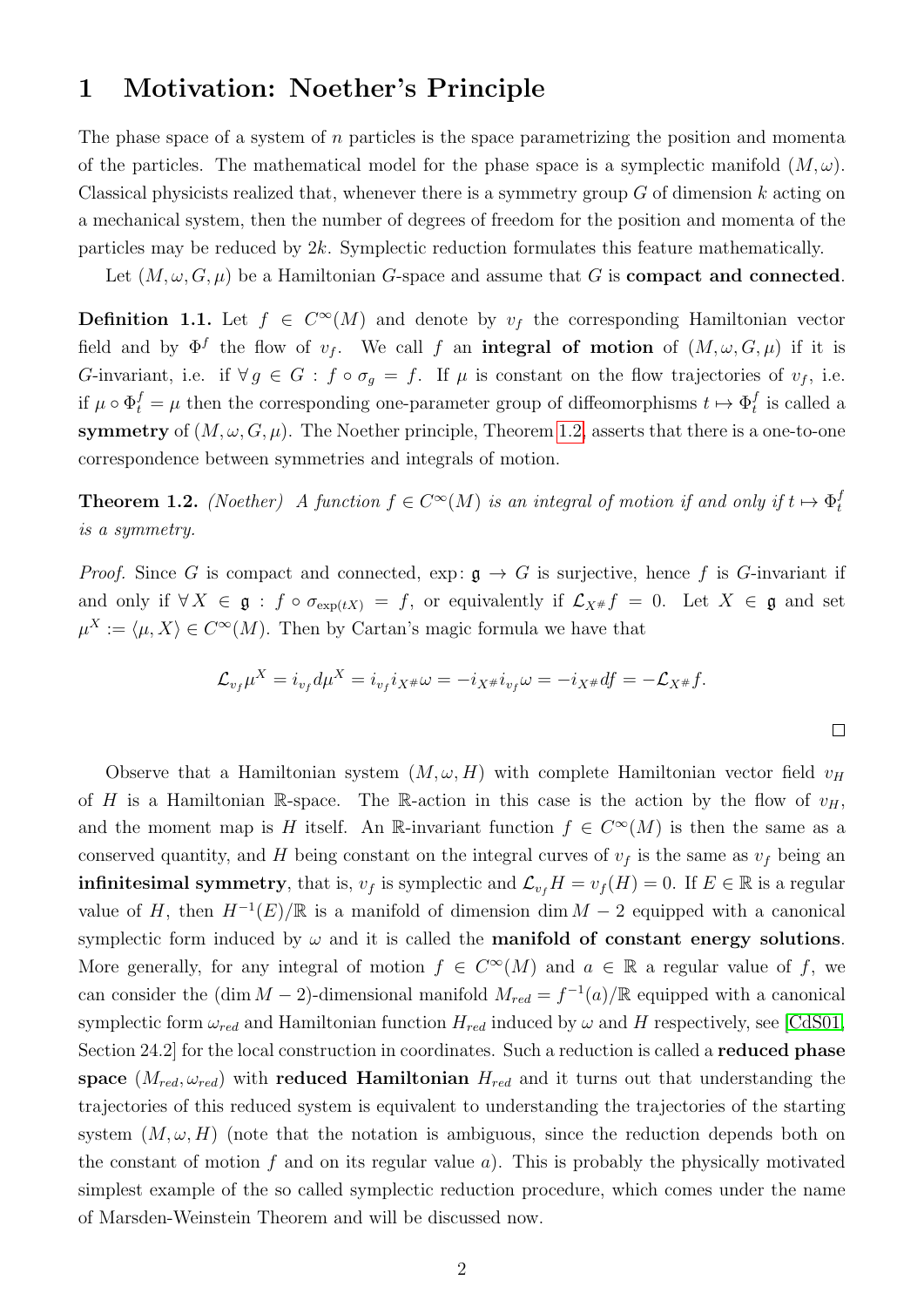### 1 Motivation: Noether's Principle

The phase space of a system of  $n$  particles is the space parametrizing the position and momenta of the particles. The mathematical model for the phase space is a symplectic manifold  $(M, \omega)$ . Classical physicists realized that, whenever there is a symmetry group  $G$  of dimension  $k$  acting on a mechanical system, then the number of degrees of freedom for the position and momenta of the particles may be reduced by 2k. Symplectic reduction formulates this feature mathematically.

Let  $(M, \omega, G, \mu)$  be a Hamiltonian G-space and assume that G is **compact and connected**.

**Definition 1.1.** Let  $f \in C^{\infty}(M)$  and denote by  $v_f$  the corresponding Hamiltonian vector field and by  $\Phi^f$  the flow of  $v_f$ . We call f an **integral of motion** of  $(M, \omega, G, \mu)$  if it is G-invariant, i.e. if  $\forall g \in G : f \circ \sigma_g = f$ . If  $\mu$  is constant on the flow trajectories of  $v_f$ , i.e. if  $\mu \circ \Phi_t^f = \mu$  then the corresponding one-parameter group of diffeomorphisms  $t \mapsto \Phi_t^f$  $_t^f$  is called a symmetry of  $(M, \omega, G, \mu)$ . The Noether principle, Theorem [1.2,](#page-1-0) asserts that there is a one-to-one correspondence between symmetries and integrals of motion.

<span id="page-1-0"></span>**Theorem 1.2.** (Noether) A function  $f \in C^{\infty}(M)$  is an integral of motion if and only if  $t \mapsto \Phi_t^f$ t is a symmetry.

*Proof.* Since G is compact and connected, exp:  $\mathfrak{g} \to G$  is surjective, hence f is G-invariant if and only if  $\forall X \in \mathfrak{g} : f \circ \sigma_{\exp(tX)} = f$ , or equivalently if  $\mathcal{L}_{X#} f = 0$ . Let  $X \in \mathfrak{g}$  and set  $\mu^X := \langle \mu, X \rangle \in C^{\infty}(M)$ . Then by Cartan's magic formula we have that

$$
\mathcal{L}_{v_f}\mu^X = i_{v_f}d\mu^X = i_{v_f}i_{X^{\#}}\omega = -i_{X^{\#}}i_{v_f}\omega = -i_{X^{\#}}df = -\mathcal{L}_{X^{\#}}f.
$$

Observe that a Hamiltonian system  $(M, \omega, H)$  with complete Hamiltonian vector field  $v_H$ of H is a Hamiltonian R-space. The R-action in this case is the action by the flow of  $v_H$ , and the moment map is H itself. An R-invariant function  $f \in C^{\infty}(M)$  is then the same as a conserved quantity, and H being constant on the integral curves of  $v_f$  is the same as  $v_f$  being an **infinitesimal symmetry**, that is,  $v_f$  is symplectic and  $\mathcal{L}_{v_f} H = v_f (H) = 0$ . If  $E \in \mathbb{R}$  is a regular value of H, then  $H^{-1}(E)/\mathbb{R}$  is a manifold of dimension dim  $M-2$  equipped with a canonical symplectic form induced by  $\omega$  and it is called the **manifold of constant energy solutions**. More generally, for any integral of motion  $f \in C^{\infty}(M)$  and  $a \in \mathbb{R}$  a regular value of f, we can consider the (dim  $M - 2$ )-dimensional manifold  $M_{red} = f^{-1}(a)/\mathbb{R}$  equipped with a canonical symplectic form  $\omega_{red}$  and Hamiltonian function  $H_{red}$  induced by  $\omega$  and H respectively, see [\[CdS01,](#page-15-0) Section 24.2] for the local construction in coordinates. Such a reduction is called a **reduced phase** space  $(M_{red}, \omega_{red})$  with reduced Hamiltonian  $H_{red}$  and it turns out that understanding the trajectories of this reduced system is equivalent to understanding the trajectories of the starting system  $(M, \omega, H)$  (note that the notation is ambiguous, since the reduction depends both on the constant of motion  $f$  and on its regular value  $a$ ). This is probably the physically motivated simplest example of the so called symplectic reduction procedure, which comes under the name of Marsden-Weinstein Theorem and will be discussed now.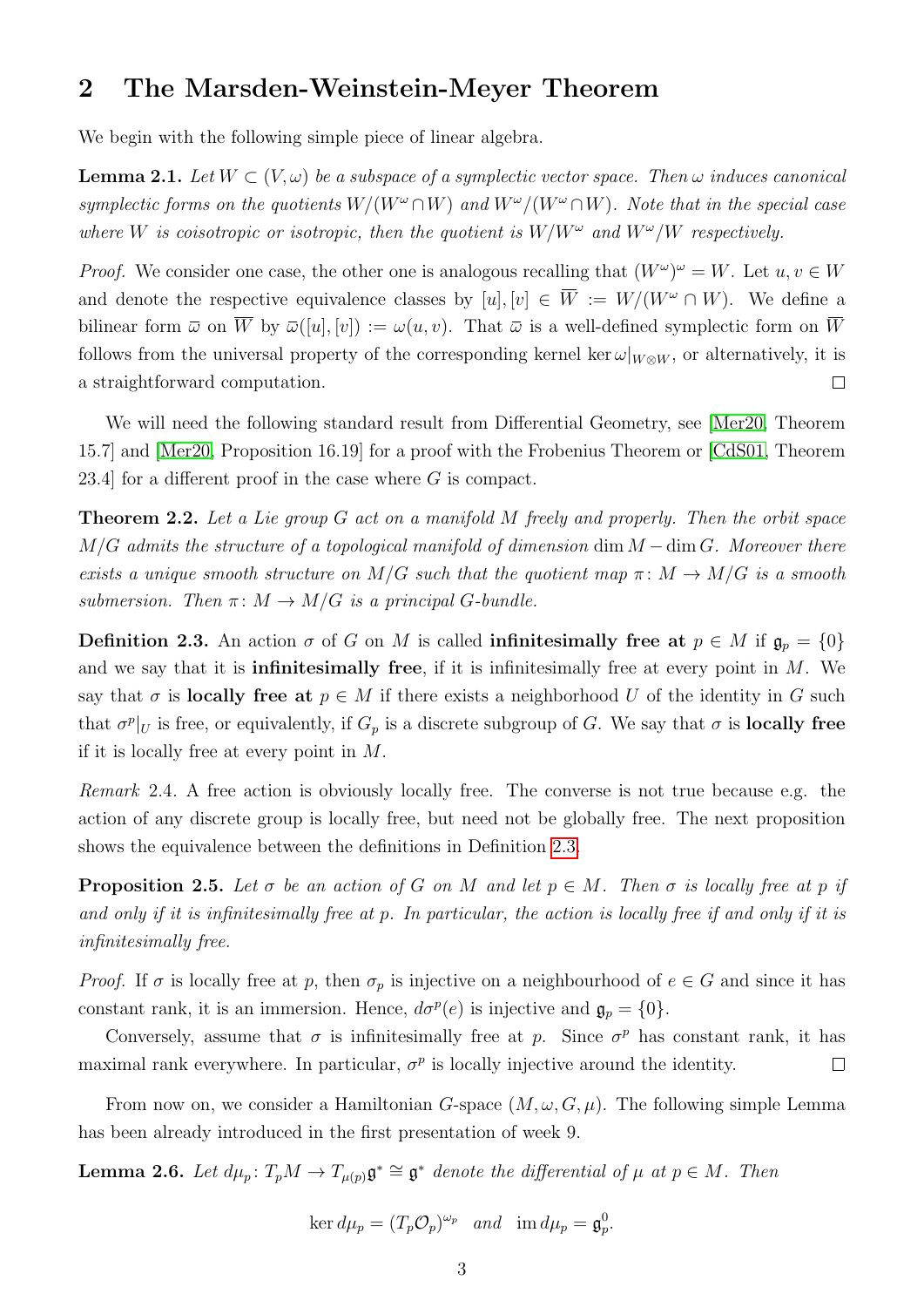### 2 The Marsden-Weinstein-Meyer Theorem

<span id="page-2-4"></span>We begin with the following simple piece of linear algebra.

**Lemma 2.1.** Let  $W \subset (V, \omega)$  be a subspace of a symplectic vector space. Then  $\omega$  induces canonical symplectic forms on the quotients  $W/(W^{\omega} \cap W)$  and  $W^{\omega}/(W^{\omega} \cap W)$ . Note that in the special case where W is coisotropic or isotropic, then the quotient is  $W/W^{\omega}$  and  $W^{\omega}/W$  respectively.

*Proof.* We consider one case, the other one is analogous recalling that  $(W^{\omega})^{\omega} = W$ . Let  $u, v \in W$ and denote the respective equivalence classes by  $[u], [v] \in \overline{W} := W/(W^{\omega} \cap W)$ . We define a bilinear form  $\overline{\omega}$  on  $\overline{W}$  by  $\overline{\omega}([u],[v]) := \omega(u,v)$ . That  $\overline{\omega}$  is a well-defined symplectic form on  $\overline{W}$ follows from the universal property of the corresponding kernel ker  $\omega|_{W\otimes W}$ , or alternatively, it is a straightforward computation.  $\Box$ 

We will need the following standard result from Differential Geometry, see [\[Mer20,](#page-15-1) Theorem 15.7] and [\[Mer20,](#page-15-1) Proposition 16.19] for a proof with the Frobenius Theorem or [\[CdS01,](#page-15-0) Theorem 23.4] for a different proof in the case where G is compact.

<span id="page-2-3"></span>Theorem 2.2. Let a Lie group G act on a manifold M freely and properly. Then the orbit space  $M/G$  admits the structure of a topological manifold of dimension dim  $M-\dim G$ . Moreover there exists a unique smooth structure on  $M/G$  such that the quotient map  $\pi \colon M \to M/G$  is a smooth submersion. Then  $\pi \colon M \to M/G$  is a principal G-bundle.

<span id="page-2-0"></span>**Definition 2.3.** An action  $\sigma$  of G on M is called **infinitesimally free at**  $p \in M$  if  $\mathfrak{g}_p = \{0\}$ and we say that it is **infinitesimally free**, if it is infinitesimally free at every point in  $M$ . We say that  $\sigma$  is **locally free at**  $p \in M$  if there exists a neighborhood U of the identity in G such that  $\sigma^p|_U$  is free, or equivalently, if  $G_p$  is a discrete subgroup of G. We say that  $\sigma$  is **locally free** if it is locally free at every point in  $M$ .

Remark 2.4. A free action is obviously locally free. The converse is not true because e.g. the action of any discrete group is locally free, but need not be globally free. The next proposition shows the equivalence between the definitions in Definition [2.3.](#page-2-0)

**Proposition 2.5.** Let  $\sigma$  be an action of G on M and let  $p \in M$ . Then  $\sigma$  is locally free at p if and only if it is infinitesimally free at p. In particular, the action is locally free if and only if it is infinitesimally free.

*Proof.* If  $\sigma$  is locally free at p, then  $\sigma_p$  is injective on a neighbourhood of  $e \in G$  and since it has constant rank, it is an immersion. Hence,  $d\sigma^p(e)$  is injective and  $\mathfrak{g}_p = \{0\}.$ 

Conversely, assume that  $\sigma$  is infinitesimally free at p. Since  $\sigma^p$  has constant rank, it has maximal rank everywhere. In particular,  $\sigma^p$  is locally injective around the identity.  $\Box$ 

From now on, we consider a Hamiltonian G-space  $(M, \omega, G, \mu)$ . The following simple Lemma has been already introduced in the first presentation of week 9.

<span id="page-2-2"></span><span id="page-2-1"></span>**Lemma 2.6.** Let  $d\mu_p$ :  $T_p M \to T_{\mu(p)} \mathfrak{g}^* \cong \mathfrak{g}^*$  denote the differential of  $\mu$  at  $p \in M$ . Then

$$
\ker d\mu_p = (T_p \mathcal{O}_p)^{\omega_p} \quad and \quad \text{im } d\mu_p = \mathfrak{g}_p^0.
$$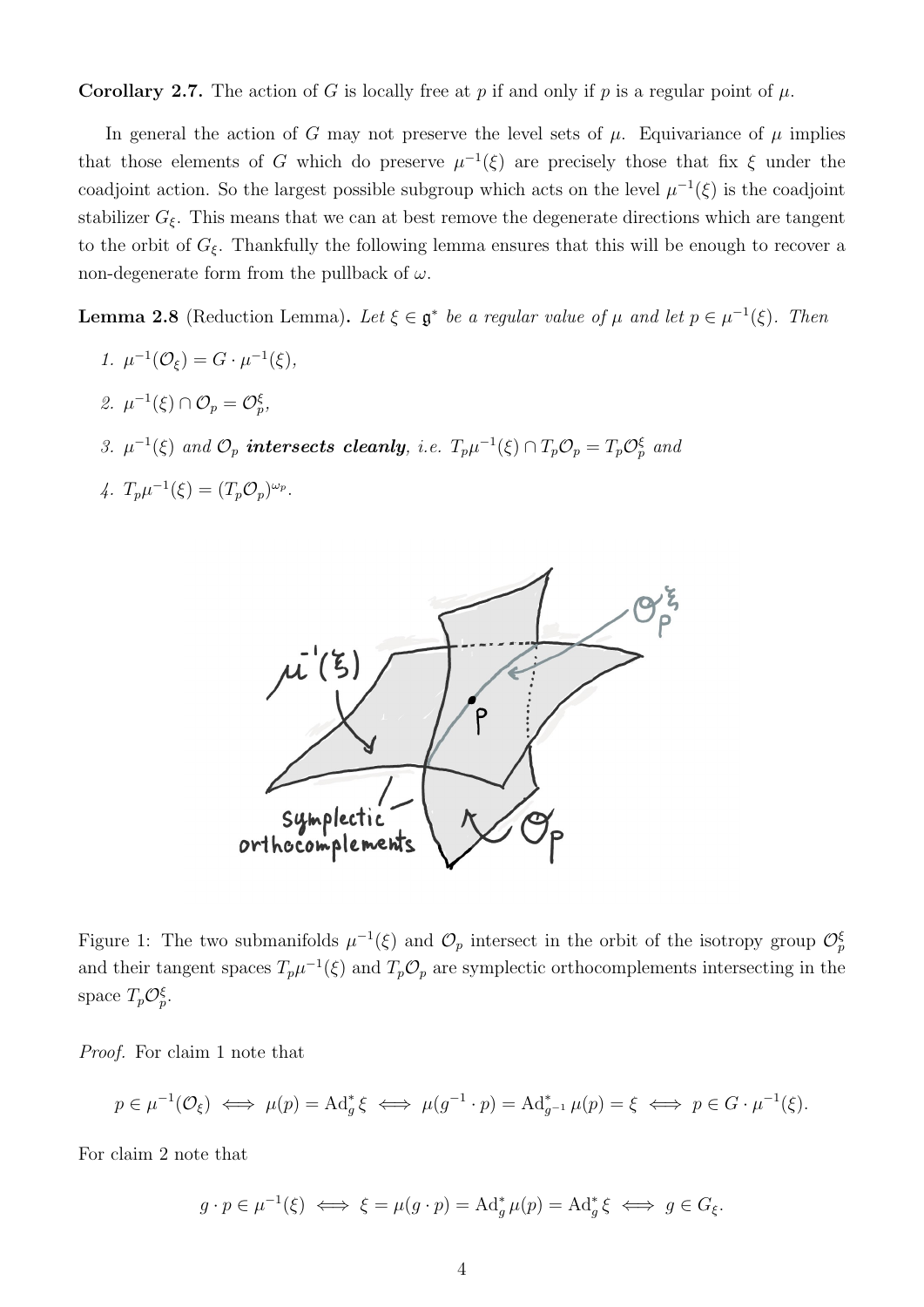**Corollary 2.7.** The action of G is locally free at p if and only if p is a regular point of  $\mu$ .

In general the action of G may not preserve the level sets of  $\mu$ . Equivariance of  $\mu$  implies that those elements of G which do preserve  $\mu^{-1}(\xi)$  are precisely those that fix  $\xi$  under the coadjoint action. So the largest possible subgroup which acts on the level  $\mu^{-1}(\xi)$  is the coadjoint stabilizer  $G_{\xi}$ . This means that we can at best remove the degenerate directions which are tangent to the orbit of  $G_{\xi}$ . Thankfully the following lemma ensures that this will be enough to recover a non-degenerate form from the pullback of  $\omega$ .

<span id="page-3-0"></span>**Lemma 2.8** (Reduction Lemma). Let  $\xi \in \mathfrak{g}^*$  be a regular value of  $\mu$  and let  $p \in \mu^{-1}(\xi)$ . Then

- 1.  $\mu^{-1}(\mathcal{O}_{\xi}) = G \cdot \mu^{-1}(\xi),$
- 2.  $\mu^{-1}(\xi) \cap \mathcal{O}_p = \mathcal{O}_p^{\xi},$
- 3.  $\mu^{-1}(\xi)$  and  $\mathcal{O}_p$  intersects cleanly, i.e.  $T_p\mu^{-1}(\xi) \cap T_p\mathcal{O}_p = T_p\mathcal{O}_p^{\xi}$  and
- 4.  $T_p \mu^{-1}(\xi) = (T_p O_p)^{\omega_p}$ .



Figure 1: The two submanifolds  $\mu^{-1}(\xi)$  and  $\mathcal{O}_p$  intersect in the orbit of the isotropy group  $\mathcal{O}_p^{\xi}$ and their tangent spaces  $T_p\mu^{-1}(\xi)$  and  $T_p\mathcal{O}_p$  are symplectic orthocomplements intersecting in the space  $T_p \mathcal{O}_p^{\xi}$ .

Proof. For claim 1 note that

$$
p \in \mu^{-1}(\mathcal{O}_{\xi}) \iff \mu(p) = \mathrm{Ad}_{g}^{*} \xi \iff \mu(g^{-1} \cdot p) = \mathrm{Ad}_{g^{-1}}^{*} \mu(p) = \xi \iff p \in G \cdot \mu^{-1}(\xi).
$$

For claim 2 note that

$$
g \cdot p \in \mu^{-1}(\xi) \iff \xi = \mu(g \cdot p) = \text{Ad}^*_g \mu(p) = \text{Ad}^*_g \xi \iff g \in G_{\xi}.
$$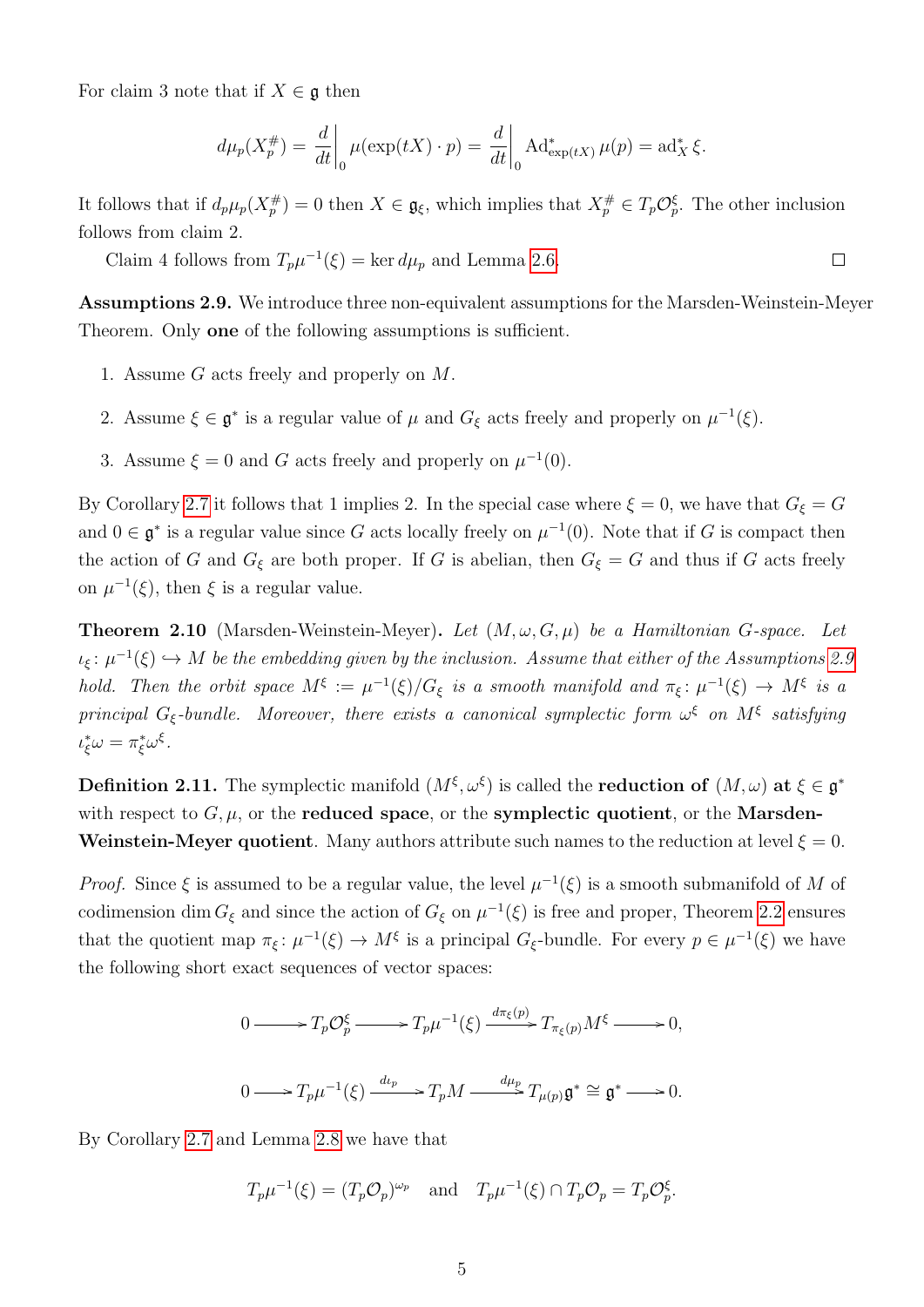For claim 3 note that if  $X \in \mathfrak{g}$  then

$$
d\mu_p(X_p^{\#}) = \frac{d}{dt}\bigg|_0 \mu(\exp(tX)\cdot p) = \frac{d}{dt}\bigg|_0 \operatorname{Ad}^*_{\exp(tX)}\mu(p) = \operatorname{ad}^*_X\xi.
$$

It follows that if  $d_p\mu_p(X_p^{\#})=0$  then  $X \in \mathfrak{g}_{\xi}$ , which implies that  $X_p^{\#} \in T_p\mathcal{O}_p^{\xi}$ . The other inclusion follows from claim 2.

Claim 4 follows from  $T_p\mu^{-1}(\xi) = \ker d\mu_p$  and Lemma [2.6.](#page-2-1)

<span id="page-4-0"></span>Assumptions 2.9. We introduce three non-equivalent assumptions for the Marsden-Weinstein-Meyer Theorem. Only **one** of the following assumptions is sufficient.

 $\Box$ 

- 1. Assume G acts freely and properly on M.
- 2. Assume  $\xi \in \mathfrak{g}^*$  is a regular value of  $\mu$  and  $G_{\xi}$  acts freely and properly on  $\mu^{-1}(\xi)$ .
- 3. Assume  $\xi = 0$  and G acts freely and properly on  $\mu^{-1}(0)$ .

By Corollary [2.7](#page-2-2) it follows that 1 implies 2. In the special case where  $\xi = 0$ , we have that  $G_{\xi} = G$ and  $0 \in \mathfrak{g}^*$  is a regular value since G acts locally freely on  $\mu^{-1}(0)$ . Note that if G is compact then the action of G and  $G_{\xi}$  are both proper. If G is abelian, then  $G_{\xi} = G$  and thus if G acts freely on  $\mu^{-1}(\xi)$ , then  $\xi$  is a regular value.

**Theorem 2.10** (Marsden-Weinstein-Meyer). Let  $(M, \omega, G, \mu)$  be a Hamiltonian G-space. Let  $\iota_{\xi} \colon \mu^{-1}(\xi) \hookrightarrow M$  be the embedding given by the inclusion. Assume that either of the Assumptions [2.9](#page-4-0) hold. Then the orbit space  $M^{\xi} := \mu^{-1}(\xi)/G_{\xi}$  is a smooth manifold and  $\pi_{\xi} : \mu^{-1}(\xi) \to M^{\xi}$  is a principal  $G_{\xi}$ -bundle. Moreover, there exists a canonical symplectic form  $\omega^{\xi}$  on  $M^{\xi}$  satisfying  $\iota_{\xi}^* \omega = \pi_{\xi}^* \omega^{\xi}.$ 

**Definition 2.11.** The symplectic manifold  $(M^{\xi}, \omega^{\xi})$  is called the **reduction of**  $(M, \omega)$  at  $\xi \in \mathfrak{g}^*$ with respect to  $G, \mu$ , or the **reduced space**, or the **symplectic quotient**, or the **Marsden-**Weinstein-Meyer quotient. Many authors attribute such names to the reduction at level  $\xi = 0$ .

*Proof.* Since  $\xi$  is assumed to be a regular value, the level  $\mu^{-1}(\xi)$  is a smooth submanifold of M of codimension dim  $G_{\xi}$  and since the action of  $G_{\xi}$  on  $\mu^{-1}(\xi)$  is free and proper, Theorem [2.2](#page-2-3) ensures that the quotient map  $\pi_{\xi} : \mu^{-1}(\xi) \to M^{\xi}$  is a principal  $G_{\xi}$ -bundle. For every  $p \in \mu^{-1}(\xi)$  we have the following short exact sequences of vector spaces:

$$
0 \longrightarrow T_p \mathcal{O}_p^{\xi} \longrightarrow T_p \mu^{-1}(\xi) \xrightarrow{d\pi_{\xi}(p)} T_{\pi_{\xi}(p)} M^{\xi} \longrightarrow 0,
$$
  

$$
0 \longrightarrow T_p \mu^{-1}(\xi) \xrightarrow{d\mu_p} T_p M \xrightarrow{d\mu_p} T_{\mu(p)} \mathfrak{g}^* \cong \mathfrak{g}^* \longrightarrow 0.
$$

By Corollary [2.7](#page-2-2) and Lemma [2.8](#page-3-0) we have that

$$
T_p\mu^{-1}(\xi) = (T_p \mathcal{O}_p)^{\omega_p} \quad \text{and} \quad T_p\mu^{-1}(\xi) \cap T_p \mathcal{O}_p = T_p \mathcal{O}_p^{\xi}.
$$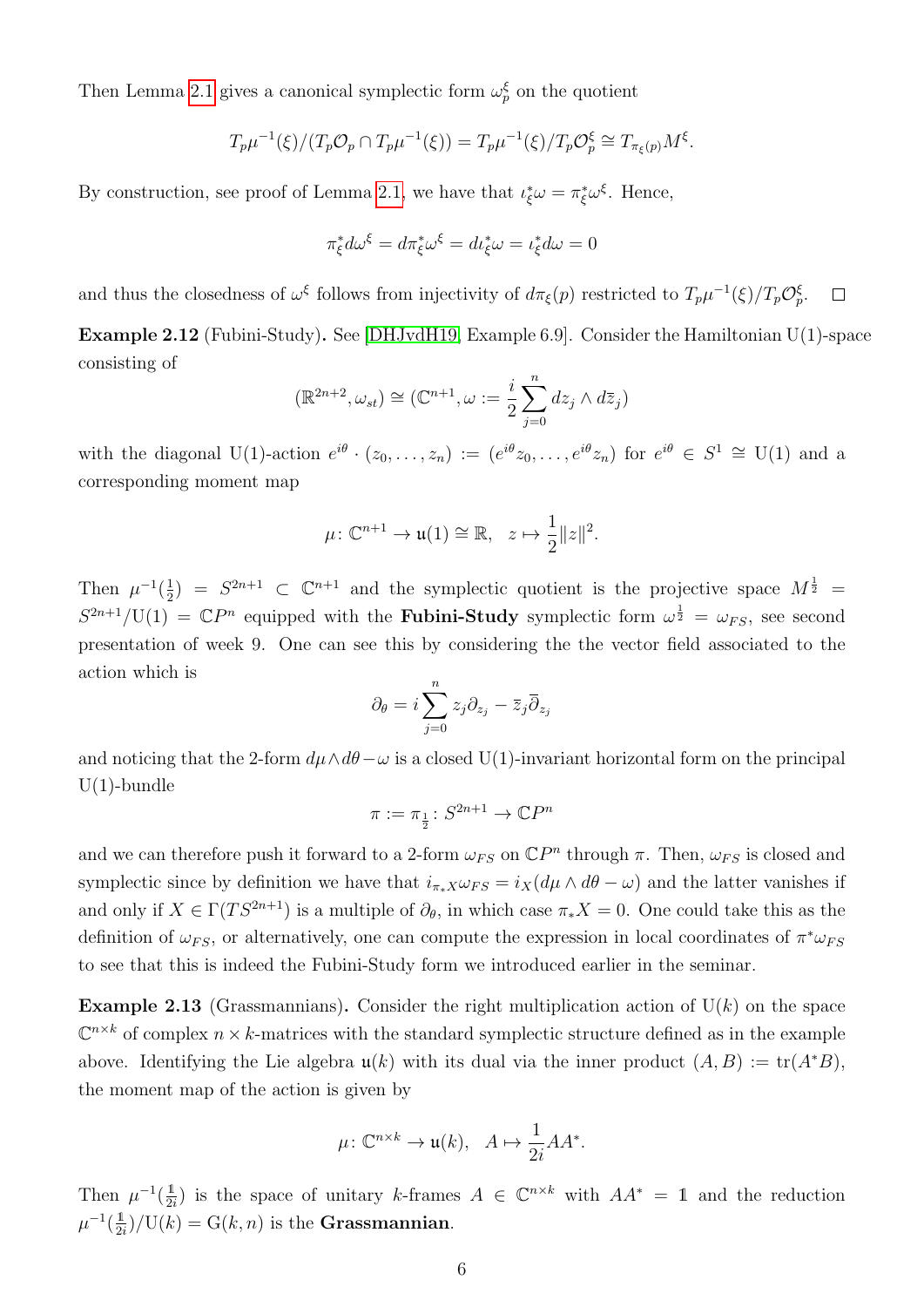Then Lemma [2.1](#page-2-4) gives a canonical symplectic form  $\omega_p^{\xi}$  on the quotient

$$
T_p \mu^{-1}(\xi) / (T_p \mathcal{O}_p \cap T_p \mu^{-1}(\xi)) = T_p \mu^{-1}(\xi) / T_p \mathcal{O}_p^{\xi} \cong T_{\pi_{\xi}(p)} M^{\xi}.
$$

By construction, see proof of Lemma [2.1,](#page-2-4) we have that  $\iota_{\xi}^* \omega = \pi_{\xi}^* \omega^{\xi}$ . Hence,

$$
\pi_{\xi}^* d\omega^{\xi} = d\pi_{\xi}^* \omega^{\xi} = d\iota_{\xi}^* \omega = \iota_{\xi}^* d\omega = 0
$$

and thus the closedness of  $\omega^{\xi}$  follows from injectivity of  $d\pi_{\xi}(p)$  restricted to  $T_{p}\mu^{-1}(\xi)/T_{p}\mathcal{O}_{p}^{\xi}$ .  $\Box$ 

<span id="page-5-0"></span>Example 2.12 (Fubini-Study). See [\[DHJvdH19,](#page-15-2) Example 6.9]. Consider the Hamiltonian U(1)-space consisting of

$$
(\mathbb{R}^{2n+2}, \omega_{st}) \cong (\mathbb{C}^{n+1}, \omega := \frac{i}{2} \sum_{j=0}^{n} dz_j \wedge d\overline{z}_j)
$$

with the diagonal U(1)-action  $e^{i\theta} \cdot (z_0, \ldots, z_n) := (e^{i\theta} z_0, \ldots, e^{i\theta} z_n)$  for  $e^{i\theta} \in S^1 \cong U(1)$  and a corresponding moment map

$$
\mu\colon \mathbb{C}^{n+1}\to \mathfrak{u}(1)\cong \mathbb{R},\ \ z\mapsto \frac{1}{2}\|z\|^2.
$$

Then  $\mu^{-1}(\frac{1}{2})$  $\frac{1}{2}$  =  $S^{2n+1}$   $\subset \mathbb{C}^{n+1}$  and the symplectic quotient is the projective space  $M^{\frac{1}{2}}$  =  $S^{2n+1}/U(1) = \mathbb{C}P^n$  equipped with the **Fubini-Study** symplectic form  $\omega^{\frac{1}{2}} = \omega_{FS}$ , see second presentation of week 9. One can see this by considering the the vector field associated to the action which is

$$
\partial_{\theta} = i \sum_{j=0}^{n} z_j \partial_{z_j} - \overline{z}_j \overline{\partial}_{z_j}
$$

and noticing that the 2-form  $d\mu \wedge d\theta - \omega$  is a closed U(1)-invariant horizontal form on the principal  $U(1)$ -bundle

$$
\pi := \pi_{\frac{1}{2}} \colon S^{2n+1} \to \mathbb{C}P^n
$$

and we can therefore push it forward to a 2-form  $\omega_{FS}$  on  $\mathbb{C}P^n$  through  $\pi$ . Then,  $\omega_{FS}$  is closed and symplectic since by definition we have that  $i_{\pi *X}\omega_{FS} = i_X(d\mu \wedge d\theta - \omega)$  and the latter vanishes if and only if  $X \in \Gamma(TS^{2n+1})$  is a multiple of  $\partial_{\theta}$ , in which case  $\pi_*X = 0$ . One could take this as the definition of  $\omega_{FS}$ , or alternatively, one can compute the expression in local coordinates of  $\pi^*\omega_{FS}$ to see that this is indeed the Fubini-Study form we introduced earlier in the seminar.

**Example 2.13** (Grassmannians). Consider the right multiplication action of  $U(k)$  on the space  $\mathbb{C}^{n\times k}$  of complex  $n \times k$ -matrices with the standard symplectic structure defined as in the example above. Identifying the Lie algebra  $\mathfrak{u}(k)$  with its dual via the inner product  $(A, B) := \text{tr}(A^*B)$ , the moment map of the action is given by

$$
\mu\colon \mathbb{C}^{n\times k}\to \mathfrak{u}(k),\ \ A\mapsto \frac{1}{2i}AA^*.
$$

Then  $\mu^{-1}(\frac{1}{2n})$  $\frac{1}{2i}$ ) is the space of unitary k-frames  $A \in \mathbb{C}^{n \times k}$  with  $AA^* = 1$  and the reduction  $\mu^{-1}(\frac{1}{2})$  $\frac{1}{2i}$ )/U(k) = G(k, n) is the **Grassmannian**.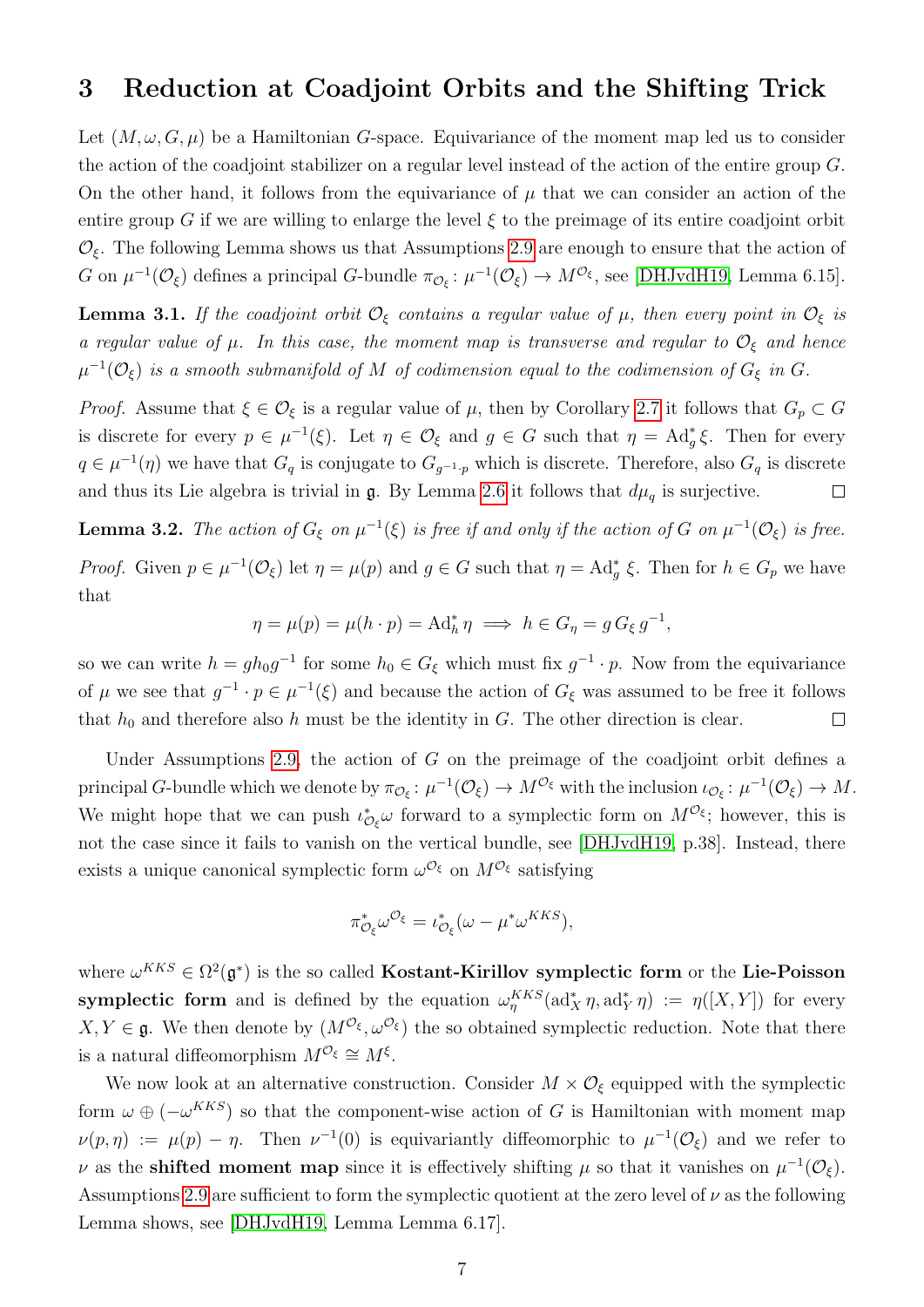#### 3 Reduction at Coadjoint Orbits and the Shifting Trick

Let  $(M, \omega, G, \mu)$  be a Hamiltonian G-space. Equivariance of the moment map led us to consider the action of the coadjoint stabilizer on a regular level instead of the action of the entire group G. On the other hand, it follows from the equivariance of  $\mu$  that we can consider an action of the entire group G if we are willing to enlarge the level  $\xi$  to the preimage of its entire coadjoint orbit  $\mathcal{O}_{\xi}$ . The following Lemma shows us that Assumptions [2.9](#page-4-0) are enough to ensure that the action of G on  $\mu^{-1}(\mathcal{O}_\xi)$  defines a principal G-bundle  $\pi_{\mathcal{O}_\xi} \colon \mu^{-1}(\mathcal{O}_\xi) \to M^{\mathcal{O}_\xi}$ , see [\[DHJvdH19,](#page-15-2) Lemma 6.15].

**Lemma 3.1.** If the coadjoint orbit  $\mathcal{O}_{\xi}$  contains a regular value of  $\mu$ , then every point in  $\mathcal{O}_{\xi}$  is a regular value of  $\mu$ . In this case, the moment map is transverse and regular to  $\mathcal{O}_{\xi}$  and hence  $\mu^{-1}(\mathcal{O}_\xi)$  is a smooth submanifold of M of codimension equal to the codimension of  $G_\xi$  in  $G$ .

*Proof.* Assume that  $\xi \in \mathcal{O}_{\xi}$  is a regular value of  $\mu$ , then by Corollary [2.7](#page-2-2) it follows that  $G_p \subset G$ is discrete for every  $p \in \mu^{-1}(\xi)$ . Let  $\eta \in \mathcal{O}_{\xi}$  and  $g \in G$  such that  $\eta = \mathrm{Ad}^*_{g} \xi$ . Then for every  $q \in \mu^{-1}(\eta)$  we have that  $G_q$  is conjugate to  $G_{g^{-1} \cdot p}$  which is discrete. Therefore, also  $G_q$  is discrete and thus its Lie algebra is trivial in  $\mathfrak{g}$ . By Lemma [2.6](#page-2-1) it follows that  $d\mu_q$  is surjective.  $\Box$ 

**Lemma 3.2.** The action of  $G_{\xi}$  on  $\mu^{-1}(\xi)$  is free if and only if the action of G on  $\mu^{-1}(\mathcal{O}_{\xi})$  is free. *Proof.* Given  $p \in \mu^{-1}(\mathcal{O}_{\xi})$  let  $\eta = \mu(p)$  and  $g \in G$  such that  $\eta = \mathrm{Ad}^*_{g} \xi$ . Then for  $h \in G_p$  we have that

$$
\eta = \mu(p) = \mu(h \cdot p) = \mathrm{Ad}_h^* \eta \implies h \in G_\eta = g \, G_\xi \, g^{-1},
$$

so we can write  $h = gh_0g^{-1}$  for some  $h_0 \in G_{\xi}$  which must fix  $g^{-1} \cdot p$ . Now from the equivariance of  $\mu$  we see that  $g^{-1} \cdot p \in \mu^{-1}(\xi)$  and because the action of  $G_{\xi}$  was assumed to be free it follows that  $h_0$  and therefore also h must be the identity in G. The other direction is clear.  $\Box$ 

Under Assumptions [2.9,](#page-4-0) the action of  $G$  on the preimage of the coadjoint orbit defines a principal G-bundle which we denote by  $\pi_{\mathcal{O}_\xi} \colon \mu^{-1}(\mathcal{O}_\xi) \to M^{\mathcal{O}_\xi}$  with the inclusion  $\iota_{\mathcal{O}_\xi} \colon \mu^{-1}(\mathcal{O}_\xi) \to M$ . We might hope that we can push  $\iota_{\mathcal{O}_{\xi}}^{*}\omega$  forward to a symplectic form on  $M^{\mathcal{O}_{\xi}}$ ; however, this is not the case since it fails to vanish on the vertical bundle, see [\[DHJvdH19,](#page-15-2) p.38]. Instead, there exists a unique canonical symplectic form  $\omega^{\mathcal{O}_{\xi}}$  on  $M^{\mathcal{O}_{\xi}}$  satisfying

$$
\pi_{\mathcal{O}_{\xi}}^* \omega^{\mathcal{O}_{\xi}} = \iota_{\mathcal{O}_{\xi}}^* (\omega - \mu^* \omega^{KKS}),
$$

where  $\omega^{KKS} \in \Omega^2(\mathfrak{g}^*)$  is the so called Kostant-Kirillov symplectic form or the Lie-Poisson symplectic form and is defined by the equation  $\omega_{\eta}^{KKS}(\mathrm{ad}_X^*\eta,\mathrm{ad}_Y^*\eta) := \eta([X,Y])$  for every  $X, Y \in \mathfrak{g}$ . We then denote by  $(M^{\mathcal{O}_{\xi}}, \omega^{\mathcal{O}_{\xi}})$  the so obtained symplectic reduction. Note that there is a natural diffeomorphism  $M^{\mathcal{O}_{\xi}} \cong M^{\xi}$ .

We now look at an alternative construction. Consider  $M \times \mathcal{O}_{\xi}$  equipped with the symplectic form  $\omega \oplus (-\omega^{KKS})$  so that the component-wise action of G is Hamiltonian with moment map  $\nu(p,\eta) := \mu(p) - \eta$ . Then  $\nu^{-1}(0)$  is equivariantly diffeomorphic to  $\mu^{-1}(\mathcal{O}_{\xi})$  and we refer to ν as the **shifted moment map** since it is effectively shifting  $\mu$  so that it vanishes on  $\mu^{-1}(\mathcal{O}_{\xi})$ . Assumptions [2.9](#page-4-0) are sufficient to form the symplectic quotient at the zero level of  $\nu$  as the following Lemma shows, see [\[DHJvdH19,](#page-15-2) Lemma Lemma 6.17].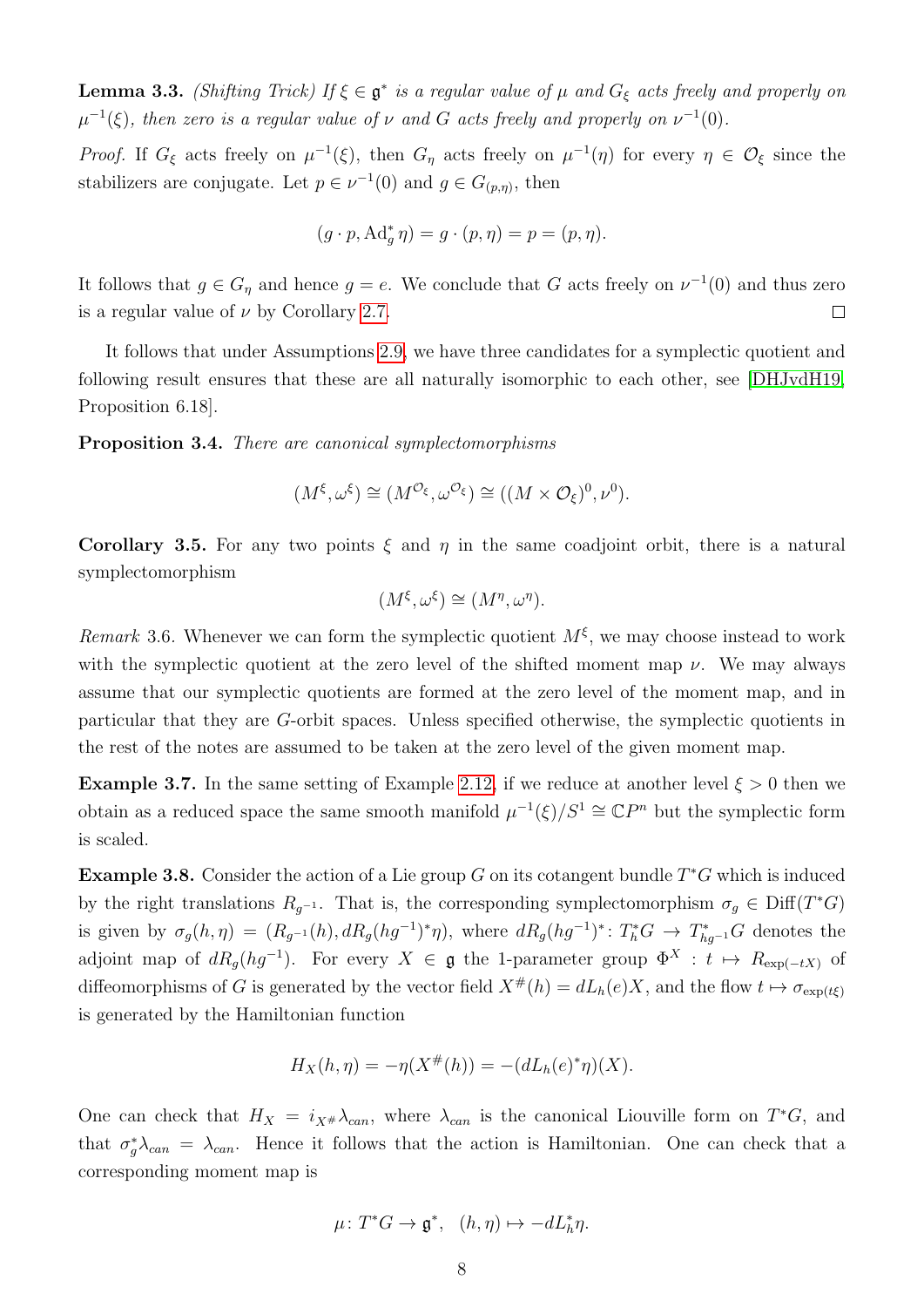**Lemma 3.3.** (Shifting Trick) If  $\xi \in \mathfrak{g}^*$  is a regular value of  $\mu$  and  $G_{\xi}$  acts freely and properly on  $\mu^{-1}(\xi)$ , then zero is a regular value of  $\nu$  and G acts freely and properly on  $\nu^{-1}(0)$ .

*Proof.* If  $G_{\xi}$  acts freely on  $\mu^{-1}(\xi)$ , then  $G_{\eta}$  acts freely on  $\mu^{-1}(\eta)$  for every  $\eta \in \mathcal{O}_{\xi}$  since the stabilizers are conjugate. Let  $p \in \nu^{-1}(0)$  and  $g \in G_{(p,\eta)}$ , then

$$
(g \cdot p, \mathrm{Ad}_g^* \eta) = g \cdot (p, \eta) = p = (p, \eta).
$$

It follows that  $g \in G_\eta$  and hence  $g = e$ . We conclude that G acts freely on  $\nu^{-1}(0)$  and thus zero is a regular value of  $\nu$  by Corollary [2.7.](#page-2-2)  $\Box$ 

It follows that under Assumptions [2.9,](#page-4-0) we have three candidates for a symplectic quotient and following result ensures that these are all naturally isomorphic to each other, see [\[DHJvdH19,](#page-15-2) Proposition 6.18].

Proposition 3.4. There are canonical symplectomorphisms

$$
(M^{\xi}, \omega^{\xi}) \cong (M^{\mathcal{O}_{\xi}}, \omega^{\mathcal{O}_{\xi}}) \cong ((M \times \mathcal{O}_{\xi})^0, \nu^0).
$$

Corollary 3.5. For any two points  $\xi$  and  $\eta$  in the same coadjoint orbit, there is a natural symplectomorphism

$$
(M^{\xi}, \omega^{\xi}) \cong (M^{\eta}, \omega^{\eta}).
$$

Remark 3.6. Whenever we can form the symplectic quotient  $M^{\xi}$ , we may choose instead to work with the symplectic quotient at the zero level of the shifted moment map  $\nu$ . We may always assume that our symplectic quotients are formed at the zero level of the moment map, and in particular that they are G-orbit spaces. Unless specified otherwise, the symplectic quotients in the rest of the notes are assumed to be taken at the zero level of the given moment map.

**Example 3.7.** In the same setting of Example [2.12,](#page-5-0) if we reduce at another level  $\xi > 0$  then we obtain as a reduced space the same smooth manifold  $\mu^{-1}(\xi)/S^1 \cong \mathbb{C}P^n$  but the symplectic form is scaled.

**Example 3.8.** Consider the action of a Lie group G on its cotangent bundle  $T^*G$  which is induced by the right translations  $R_{g^{-1}}$ . That is, the corresponding symplectomorphism  $\sigma_g \in \text{Diff}(T^*G)$ is given by  $\sigma_g(h,\eta) = (R_{g^{-1}}(h), dR_g(hg^{-1})^*\eta)$ , where  $dR_g(hg^{-1})^*$ :  $T_h^*G \to T_{hg^{-1}}^*G$  denotes the adjoint map of  $dR_g(hg^{-1})$ . For every  $X \in \mathfrak{g}$  the 1-parameter group  $\Phi^X : t \mapsto R_{\exp(-tX)}$  of diffeomorphisms of G is generated by the vector field  $X^{\#}(h) = dL_h(e)X$ , and the flow  $t \mapsto \sigma_{\exp(t\xi)}$ is generated by the Hamiltonian function

$$
H_X(h, \eta) = -\eta(X^{\#}(h)) = -(dL_h(e)^*\eta)(X).
$$

One can check that  $H_X = i_{X} * \lambda_{can}$ , where  $\lambda_{can}$  is the canonical Liouville form on  $T^*G$ , and that  $\sigma_g^* \lambda_{can} = \lambda_{can}$ . Hence it follows that the action is Hamiltonian. One can check that a corresponding moment map is

$$
\mu\colon T^*G\to \mathfrak{g}^*,\ \ (h,\eta)\mapsto -dL_h^*\eta.
$$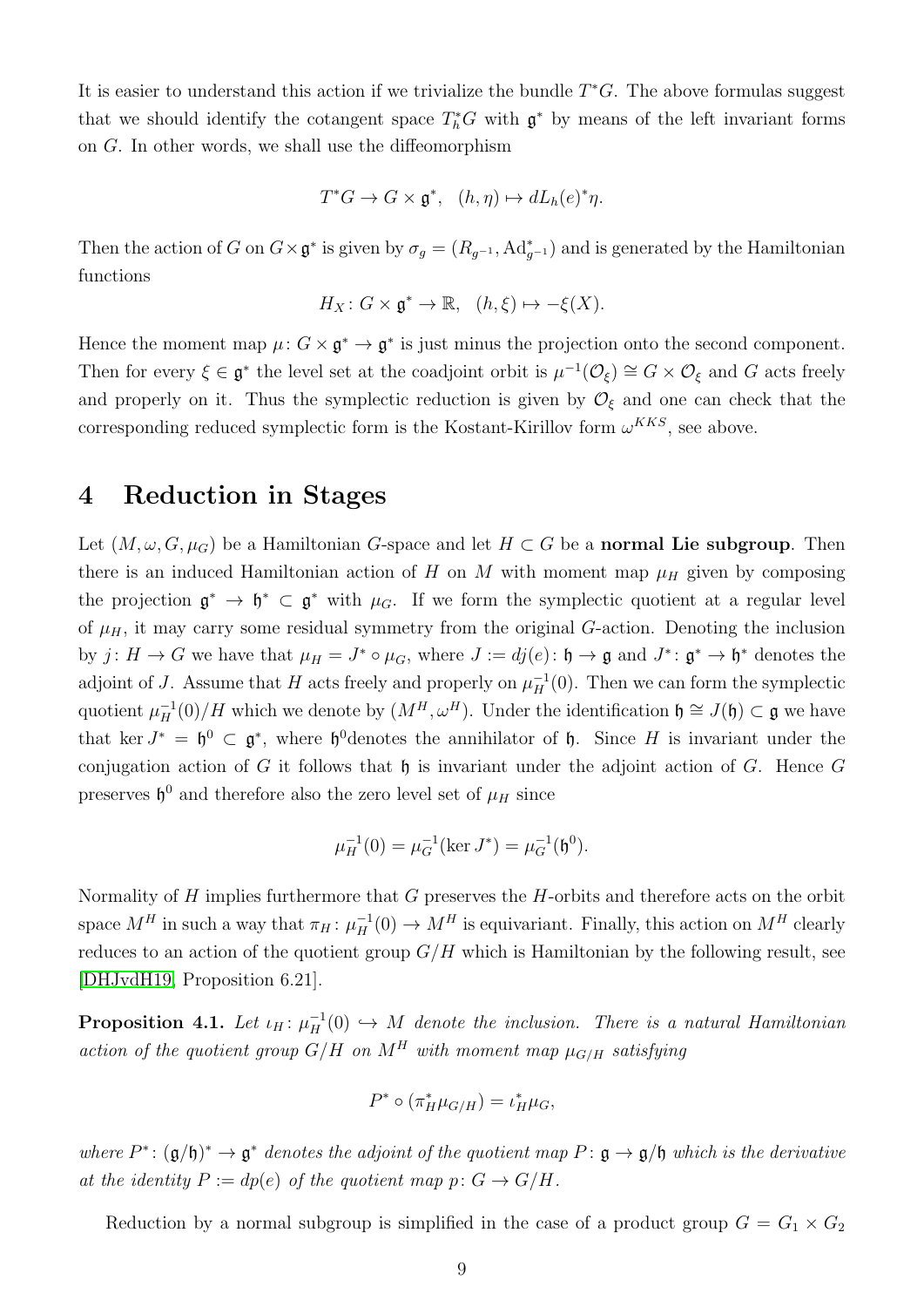It is easier to understand this action if we trivialize the bundle  $T^*G$ . The above formulas suggest that we should identify the cotangent space  $T_h^*G$  with  $\mathfrak{g}^*$  by means of the left invariant forms on G. In other words, we shall use the diffeomorphism

$$
T^*G \to G \times \mathfrak{g}^*, \ \ (h,\eta) \mapsto dL_h(e)^*\eta.
$$

Then the action of G on  $G \times \mathfrak{g}^*$  is given by  $\sigma_g = (R_{g^{-1}} , \text{Ad}^*_{g^{-1}})$  and is generated by the Hamiltonian functions

$$
H_X\colon G\times\mathfrak{g}^*\to\mathbb{R},\ \ (h,\xi)\mapsto -\xi(X).
$$

Hence the moment map  $\mu: G \times \mathfrak{g}^* \to \mathfrak{g}^*$  is just minus the projection onto the second component. Then for every  $\xi \in \mathfrak{g}^*$  the level set at the coadjoint orbit is  $\mu^{-1}(\mathcal{O}_{\xi}) \cong G \times \mathcal{O}_{\xi}$  and G acts freely and properly on it. Thus the symplectic reduction is given by  $\mathcal{O}_{\xi}$  and one can check that the corresponding reduced symplectic form is the Kostant-Kirillov form  $\omega^{KKS}$ , see above.

# 4 Reduction in Stages

Let  $(M, \omega, G, \mu_G)$  be a Hamiltonian G-space and let  $H \subset G$  be a **normal Lie subgroup**. Then there is an induced Hamiltonian action of H on M with moment map  $\mu$ <sub>H</sub> given by composing the projection  $\mathfrak{g}^* \to \mathfrak{h}^* \subset \mathfrak{g}^*$  with  $\mu_G$ . If we form the symplectic quotient at a regular level of  $\mu$ <sub>H</sub>, it may carry some residual symmetry from the original G-action. Denoting the inclusion by  $j: H \to G$  we have that  $\mu_H = J^* \circ \mu_G$ , where  $J := dj(e): \mathfrak{h} \to \mathfrak{g}$  and  $J^*: \mathfrak{g}^* \to \mathfrak{h}^*$  denotes the adjoint of J. Assume that H acts freely and properly on  $\mu_H^{-1}(0)$ . Then we can form the symplectic quotient  $\mu_H^{-1}(0)/H$  which we denote by  $(M^H, \omega^H)$ . Under the identification  $\mathfrak{h} \cong J(\mathfrak{h}) \subset \mathfrak{g}$  we have that ker  $J^* = \mathfrak{h}^0 \subset \mathfrak{g}^*$ , where  $\mathfrak{h}^0$  denotes the annihilator of  $\mathfrak{h}$ . Since H is invariant under the conjugation action of G it follows that  $\mathfrak h$  is invariant under the adjoint action of G. Hence G preserves  $\mathfrak{h}^0$  and therefore also the zero level set of  $\mu_H$  since

$$
\mu_H^{-1}(0) = \mu_G^{-1}(\ker J^*) = \mu_G^{-1}(\mathfrak{h}^0).
$$

Normality of  $H$  implies furthermore that  $G$  preserves the  $H$ -orbits and therefore acts on the orbit space  $M^H$  in such a way that  $\pi_H: \mu_H^{-1}(0) \to M^H$  is equivariant. Finally, this action on  $M^H$  clearly reduces to an action of the quotient group  $G/H$  which is Hamiltonian by the following result, see [\[DHJvdH19,](#page-15-2) Proposition 6.21].

**Proposition 4.1.** Let  $\iota_H: \mu_H^{-1}(0) \hookrightarrow M$  denote the inclusion. There is a natural Hamiltonian action of the quotient group  $G/H$  on  $M^H$  with moment map  $\mu_{G/H}$  satisfying

$$
P^* \circ (\pi_H^* \mu_{G/H}) = \iota_H^* \mu_G,
$$

where  $P^*: (\mathfrak{g}/\mathfrak{h})^* \to \mathfrak{g}^*$  denotes the adjoint of the quotient map  $P: \mathfrak{g} \to \mathfrak{g}/\mathfrak{h}$  which is the derivative at the identity  $P := dp(e)$  of the quotient map  $p: G \to G/H$ .

Reduction by a normal subgroup is simplified in the case of a product group  $G = G_1 \times G_2$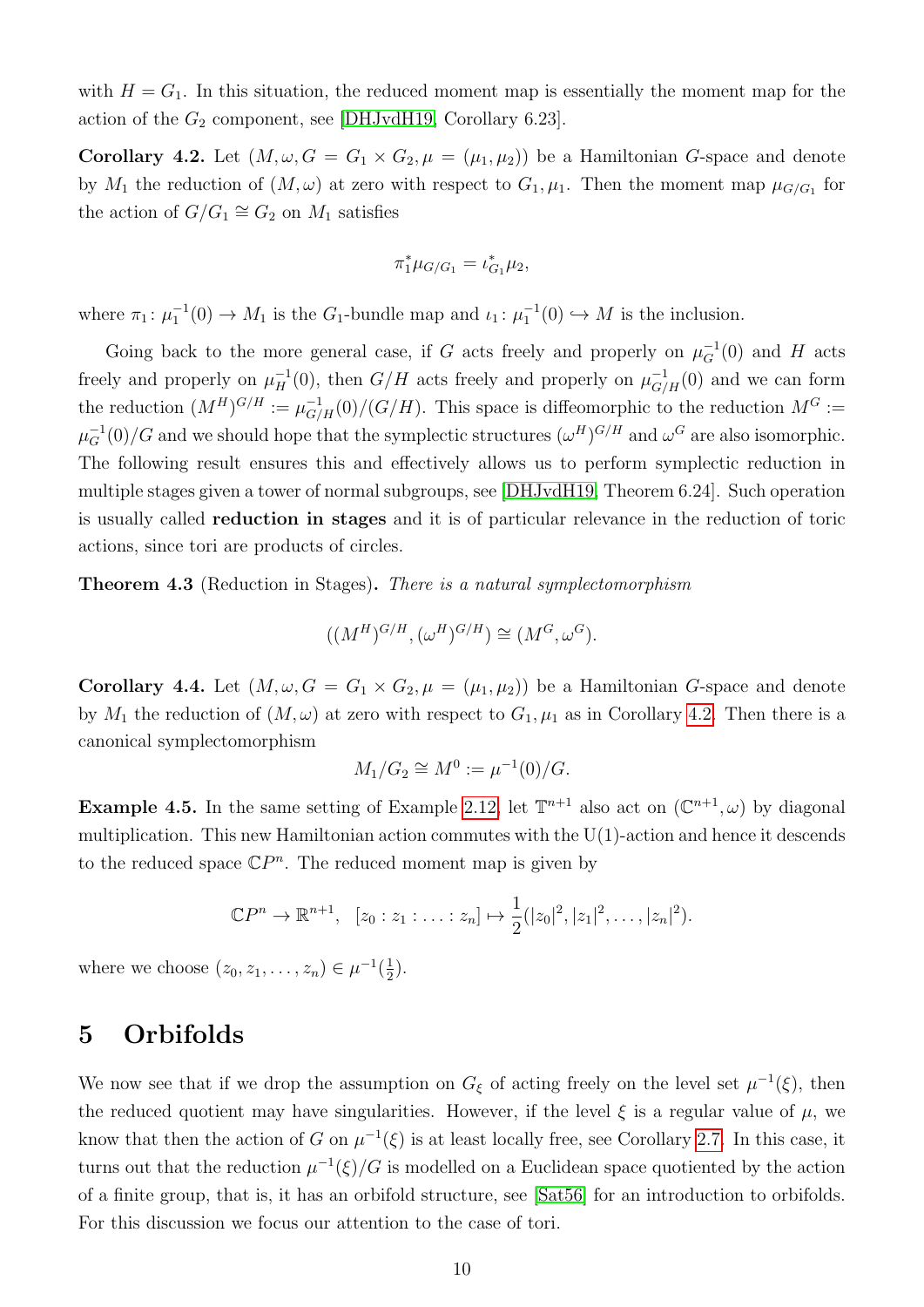with  $H = G_1$ . In this situation, the reduced moment map is essentially the moment map for the action of the  $G_2$  component, see [\[DHJvdH19,](#page-15-2) Corollary 6.23].

<span id="page-9-0"></span>Corollary 4.2. Let  $(M, \omega, G = G_1 \times G_2, \mu = (\mu_1, \mu_2))$  be a Hamiltonian G-space and denote by  $M_1$  the reduction of  $(M, \omega)$  at zero with respect to  $G_1, \mu_1$ . Then the moment map  $\mu_{G/G_1}$  for the action of  $G/G_1 \cong G_2$  on  $M_1$  satisfies

$$
\pi_1^* \mu_{G/G_1} = \iota_{G_1}^* \mu_2,
$$

where  $\pi_1: \mu_1^{-1}(0) \to M_1$  is the  $G_1$ -bundle map and  $\iota_1: \mu_1^{-1}(0) \to M$  is the inclusion.

Going back to the more general case, if G acts freely and properly on  $\mu_G^{-1}(0)$  and H acts freely and properly on  $\mu_H^{-1}(0)$ , then  $G/H$  acts freely and properly on  $\mu_{G/H}^{-1}(0)$  and we can form the reduction  $(M^H)^{G/H} := \mu_{G/H}^{-1}(0)/(G/H)$ . This space is diffeomorphic to the reduction  $M^G :=$  $\mu_G^{-1}(0)/G$  and we should hope that the symplectic structures  $(\omega^H)^{G/H}$  and  $\omega^G$  are also isomorphic. The following result ensures this and effectively allows us to perform symplectic reduction in multiple stages given a tower of normal subgroups, see [\[DHJvdH19,](#page-15-2) Theorem 6.24]. Such operation is usually called reduction in stages and it is of particular relevance in the reduction of toric actions, since tori are products of circles.

Theorem 4.3 (Reduction in Stages). There is a natural symplectomorphism

$$
((M^H)^{G/H}, (\omega^H)^{G/H}) \cong (M^G, \omega^G).
$$

**Corollary 4.4.** Let  $(M, \omega, G = G_1 \times G_2, \mu = (\mu_1, \mu_2))$  be a Hamiltonian G-space and denote by  $M_1$  the reduction of  $(M, \omega)$  at zero with respect to  $G_1, \mu_1$  as in Corollary [4.2.](#page-9-0) Then there is a canonical symplectomorphism

$$
M_1/G_2 \cong M^0 := \mu^{-1}(0)/G.
$$

**Example 4.5.** In the same setting of Example [2.12,](#page-5-0) let  $\mathbb{T}^{n+1}$  also act on  $(\mathbb{C}^{n+1}, \omega)$  by diagonal multiplication. This new Hamiltonian action commutes with the  $U(1)$ -action and hence it descends to the reduced space  $\mathbb{C}P^n$ . The reduced moment map is given by

$$
\mathbb{C}P^n \to \mathbb{R}^{n+1}, \ \ [z_0:z_1:\ldots:z_n] \mapsto \frac{1}{2}(|z_0|^2,|z_1|^2,\ldots,|z_n|^2).
$$

where we choose  $(z_0, z_1, \ldots, z_n) \in \mu^{-1}(\frac{1}{2})$  $(\frac{1}{2})$ .

### 5 Orbifolds

We now see that if we drop the assumption on  $G_{\xi}$  of acting freely on the level set  $\mu^{-1}(\xi)$ , then the reduced quotient may have singularities. However, if the level  $\xi$  is a regular value of  $\mu$ , we know that then the action of G on  $\mu^{-1}(\xi)$  is at least locally free, see Corollary [2.7.](#page-2-2) In this case, it turns out that the reduction  $\mu^{-1}(\xi)/G$  is modelled on a Euclidean space quotiented by the action of a finite group, that is, it has an orbifold structure, see [\[Sat56\]](#page-15-3) for an introduction to orbifolds. For this discussion we focus our attention to the case of tori.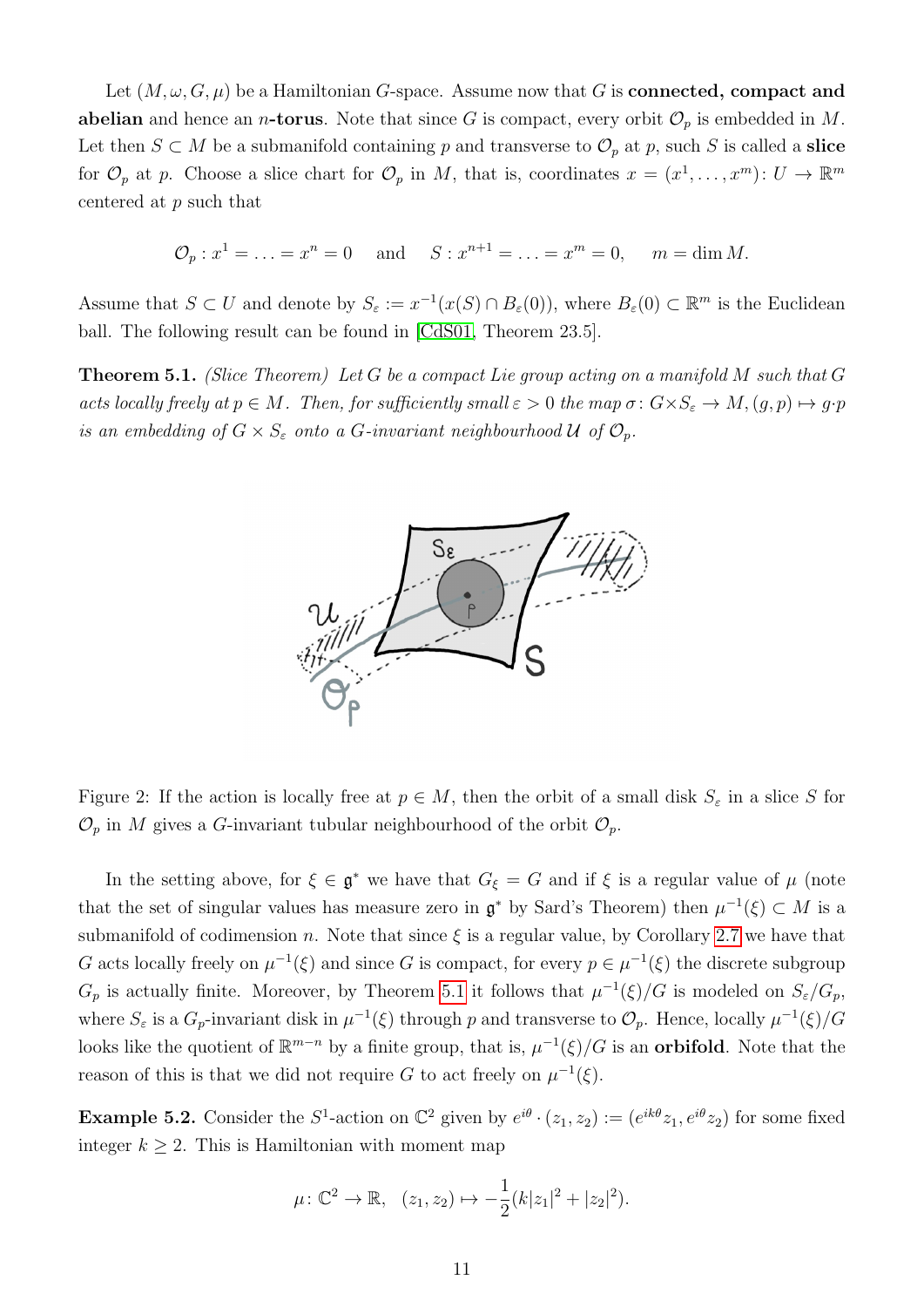Let  $(M, \omega, G, \mu)$  be a Hamiltonian G-space. Assume now that G is **connected, compact and** abelian and hence an *n*-torus. Note that since G is compact, every orbit  $\mathcal{O}_p$  is embedded in M. Let then  $S \subset M$  be a submanifold containing p and transverse to  $\mathcal{O}_p$  at p, such S is called a **slice** for  $\mathcal{O}_p$  at p. Choose a slice chart for  $\mathcal{O}_p$  in M, that is, coordinates  $x = (x^1, \ldots, x^m) : U \to \mathbb{R}^m$ centered at p such that

$$
\mathcal{O}_p : x^1 = \ldots = x^n = 0
$$
 and  $S : x^{n+1} = \ldots = x^m = 0$ ,  $m = \dim M$ .

Assume that  $S \subset U$  and denote by  $S_{\varepsilon} := x^{-1}(x(S) \cap B_{\varepsilon}(0))$ , where  $B_{\varepsilon}(0) \subset \mathbb{R}^m$  is the Euclidean ball. The following result can be found in [\[CdS01,](#page-15-0) Theorem 23.5].

<span id="page-10-0"></span>**Theorem 5.1.** (Slice Theorem) Let G be a compact Lie group acting on a manifold M such that G acts locally freely at  $p \in M$ . Then, for sufficiently small  $\varepsilon > 0$  the map  $\sigma: G \times S_{\varepsilon} \to M$ ,  $(g, p) \mapsto g \cdot p$ is an embedding of  $G \times S_{\varepsilon}$  onto a G-invariant neighbourhood  $\mathcal U$  of  $\mathcal O_p$ .



Figure 2: If the action is locally free at  $p \in M$ , then the orbit of a small disk  $S_{\varepsilon}$  in a slice S for  $\mathcal{O}_p$  in M gives a G-invariant tubular neighbourhood of the orbit  $\mathcal{O}_p$ .

In the setting above, for  $\xi \in \mathfrak{g}^*$  we have that  $G_{\xi} = G$  and if  $\xi$  is a regular value of  $\mu$  (note that the set of singular values has measure zero in  $\mathfrak{g}^*$  by Sard's Theorem) then  $\mu^{-1}(\xi) \subset M$  is a submanifold of codimension n. Note that since  $\xi$  is a regular value, by Corollary [2.7](#page-2-2) we have that G acts locally freely on  $\mu^{-1}(\xi)$  and since G is compact, for every  $p \in \mu^{-1}(\xi)$  the discrete subgroup  $G_p$  is actually finite. Moreover, by Theorem [5.1](#page-10-0) it follows that  $\mu^{-1}(\xi)/G$  is modeled on  $S_{\varepsilon}/G_p$ , where  $S_{\varepsilon}$  is a  $G_p$ -invariant disk in  $\mu^{-1}(\xi)$  through p and transverse to  $\mathcal{O}_p$ . Hence, locally  $\mu^{-1}(\xi)/G$ looks like the quotient of  $\mathbb{R}^{m-n}$  by a finite group, that is,  $\mu^{-1}(\xi)/G$  is an **orbifold**. Note that the reason of this is that we did not require G to act freely on  $\mu^{-1}(\xi)$ .

**Example 5.2.** Consider the  $S^1$ -action on  $\mathbb{C}^2$  given by  $e^{i\theta} \cdot (z_1, z_2) := (e^{ik\theta} z_1, e^{i\theta} z_2)$  for some fixed integer  $k \geq 2$ . This is Hamiltonian with moment map

$$
\mu: \mathbb{C}^2 \to \mathbb{R}, \quad (z_1, z_2) \mapsto -\frac{1}{2}(k|z_1|^2 + |z_2|^2).
$$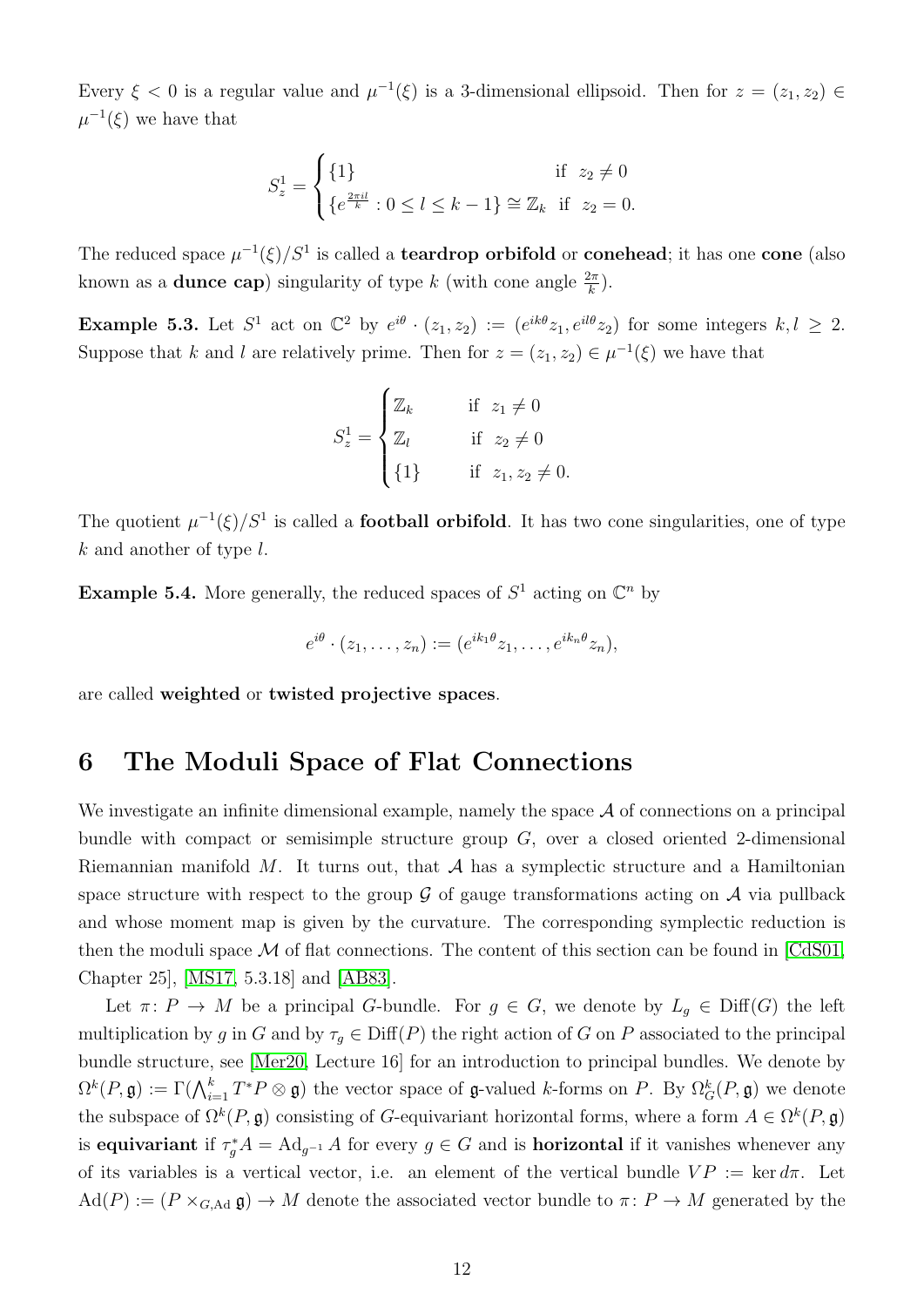Every  $\xi < 0$  is a regular value and  $\mu^{-1}(\xi)$  is a 3-dimensional ellipsoid. Then for  $z = (z_1, z_2) \in$  $\mu^{-1}(\xi)$  we have that

$$
S_z^1 = \begin{cases} \{1\} & \text{if } z_2 \neq 0\\ \{e^{\frac{2\pi i l}{k}} : 0 \le l \le k - 1\} \cong \mathbb{Z}_k & \text{if } z_2 = 0. \end{cases}
$$

The reduced space  $\mu^{-1}(\xi)/S^1$  is called a **teardrop orbifold** or **conehead**; it has one **cone** (also known as a **dunce cap**) singularity of type k (with cone angle  $\frac{2\pi}{k}$ ).

**Example 5.3.** Let  $S^1$  act on  $\mathbb{C}^2$  by  $e^{i\theta} \cdot (z_1, z_2) := (e^{ik\theta}z_1, e^{il\theta}z_2)$  for some integers  $k, l \geq 2$ . Suppose that k and l are relatively prime. Then for  $z = (z_1, z_2) \in \mu^{-1}(\xi)$  we have that

$$
S_z^1 = \begin{cases} \mathbb{Z}_k & \text{if } z_1 \neq 0 \\ \mathbb{Z}_l & \text{if } z_2 \neq 0 \\ \{1\} & \text{if } z_1, z_2 \neq 0. \end{cases}
$$

The quotient  $\mu^{-1}(\xi)/S^1$  is called a **football orbifold**. It has two cone singularities, one of type k and another of type l.

**Example 5.4.** More generally, the reduced spaces of  $S^1$  acting on  $\mathbb{C}^n$  by

$$
e^{i\theta} \cdot (z_1, \ldots, z_n) := (e^{ik_1\theta} z_1, \ldots, e^{ik_n\theta} z_n),
$$

are called weighted or twisted projective spaces.

#### 6 The Moduli Space of Flat Connections

We investigate an infinite dimensional example, namely the space  $A$  of connections on a principal bundle with compact or semisimple structure group  $G$ , over a closed oriented 2-dimensional Riemannian manifold M. It turns out, that  $A$  has a symplectic structure and a Hamiltonian space structure with respect to the group  $G$  of gauge transformations acting on  $A$  via pullback and whose moment map is given by the curvature. The corresponding symplectic reduction is then the moduli space  $\mathcal M$  of flat connections. The content of this section can be found in [\[CdS01,](#page-15-0) Chapter 25], [\[MS17,](#page-15-4) 5.3.18] and [\[AB83\]](#page-15-5).

Let  $\pi: P \to M$  be a principal G-bundle. For  $g \in G$ , we denote by  $L_g \in \text{Diff}(G)$  the left multiplication by g in G and by  $\tau_g \in \text{Diff}(P)$  the right action of G on P associated to the principal bundle structure, see [\[Mer20,](#page-15-1) Lecture 16] for an introduction to principal bundles. We denote by  $\Omega^k(P, \mathfrak{g}) := \Gamma(\bigwedge_{i=1}^k T^*P \otimes \mathfrak{g})$  the vector space of  $\mathfrak{g}\text{-valued }k\text{-forms on }P$ . By  $\Omega_G^k(P, \mathfrak{g})$  we denote the subspace of  $\Omega^k(P, \mathfrak{g})$  consisting of G-equivariant horizontal forms, where a form  $A \in \Omega^k(P, \mathfrak{g})$ is equivariant if  $\tau_g^* A = \text{Ad}_{g^{-1}} A$  for every  $g \in G$  and is **horizontal** if it vanishes whenever any of its variables is a vertical vector, i.e. an element of the vertical bundle  $VP := \text{ker } d\pi$ . Let  $\text{Ad}(P) := (P \times_{G \text{Ad}} \mathfrak{g}) \to M$  denote the associated vector bundle to  $\pi \colon P \to M$  generated by the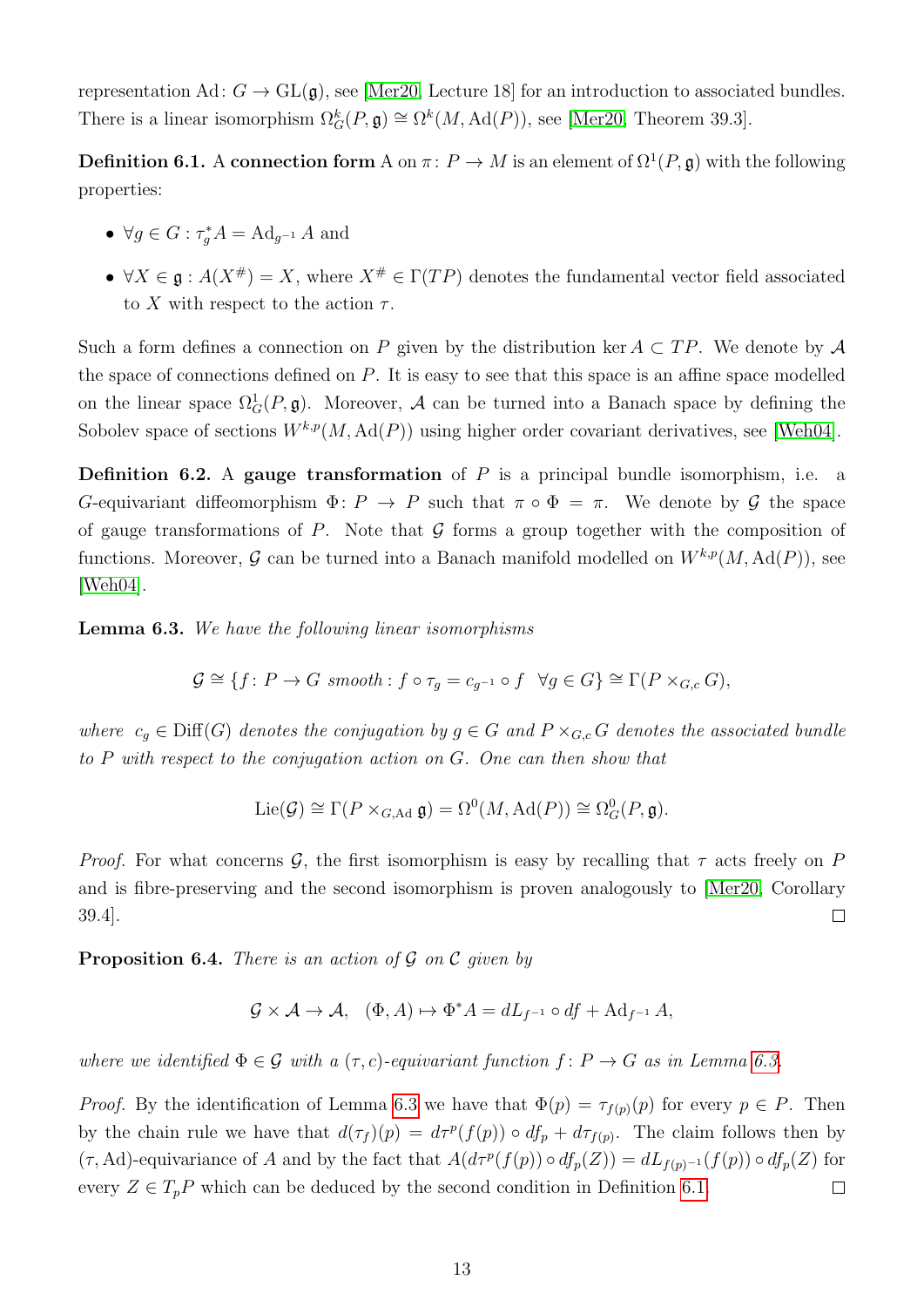representation Ad:  $G \to GL(\mathfrak{g})$ , see [\[Mer20,](#page-15-1) Lecture 18] for an introduction to associated bundles. There is a linear isomorphism  $\Omega_G^k(P, \mathfrak{g}) \cong \Omega^k(M, \text{Ad}(P)),$  see [\[Mer20,](#page-15-1) Theorem 39.3].

<span id="page-12-1"></span>**Definition 6.1.** A connection form A on  $\pi$ :  $P \to M$  is an element of  $\Omega^1(P, \mathfrak{g})$  with the following properties:

- $\forall g \in G : \tau_g^* A = \text{Ad}_{g^{-1}} A$  and
- $\forall X \in \mathfrak{g} : A(X^*) = X$ , where  $X^* \in \Gamma(T)$  denotes the fundamental vector field associated to X with respect to the action  $\tau$ .

Such a form defines a connection on P given by the distribution ker  $A \subset TP$ . We denote by A the space of connections defined on  $P$ . It is easy to see that this space is an affine space modelled on the linear space  $\Omega_G^1(P, \mathfrak{g})$ . Moreover, A can be turned into a Banach space by defining the Sobolev space of sections  $W^{k,p}(M, \text{Ad}(P))$  using higher order covariant derivatives, see [\[Weh04\]](#page-15-6).

**Definition 6.2.** A gauge transformation of  $P$  is a principal bundle isomorphism, i.e. a G-equivariant diffeomorphism  $\Phi: P \to P$  such that  $\pi \circ \Phi = \pi$ . We denote by G the space of gauge transformations of P. Note that  $\mathcal G$  forms a group together with the composition of functions. Moreover, G can be turned into a Banach manifold modelled on  $W^{k,p}(M, \text{Ad}(P))$ , see [\[Weh04\]](#page-15-6).

<span id="page-12-0"></span>Lemma 6.3. We have the following linear isomorphisms

$$
\mathcal{G} \cong \{f \colon P \to G \ \text{smooth} : f \circ \tau_g = c_{g^{-1}} \circ f \ \ \forall g \in G\} \cong \Gamma(P \times_{G,c} G),
$$

where  $c_q \in \text{Diff}(G)$  denotes the conjugation by  $g \in G$  and  $P \times_{G,c} G$  denotes the associated bundle to P with respect to the conjugation action on G. One can then show that

$$
\mathrm{Lie}(\mathcal{G}) \cong \Gamma(P \times_{G, \mathrm{Ad}} \mathfrak{g}) = \Omega^0(M, \mathrm{Ad}(P)) \cong \Omega^0_G(P, \mathfrak{g}).
$$

*Proof.* For what concerns G, the first isomorphism is easy by recalling that  $\tau$  acts freely on P and is fibre-preserving and the second isomorphism is proven analogously to [\[Mer20,](#page-15-1) Corollary 39.4].  $\Box$ 

**Proposition 6.4.** There is an action of G on C given by

$$
\mathcal{G} \times \mathcal{A} \to \mathcal{A}, \quad (\Phi, A) \mapsto \Phi^* A = dL_{f^{-1}} \circ df + Ad_{f^{-1}} A,
$$

where we identified  $\Phi \in \mathcal{G}$  with a  $(\tau, c)$ -equivariant function  $f: P \to G$  as in Lemma [6.3.](#page-12-0)

*Proof.* By the identification of Lemma [6.3](#page-12-0) we have that  $\Phi(p) = \tau_{f(p)}(p)$  for every  $p \in P$ . Then by the chain rule we have that  $d(\tau_f)(p) = d\tau^p(f(p)) \circ df_p + d\tau_{f(p)}$ . The claim follows then by  $(\tau, \text{Ad})$ -equivariance of A and by the fact that  $A(d\tau^p(f(p)) \circ df_p(Z)) = dL_{f(p)^{-1}}(f(p)) \circ df_p(Z)$  for every  $Z \in T_pP$  which can be deduced by the second condition in Definition [6.1.](#page-12-1)  $\Box$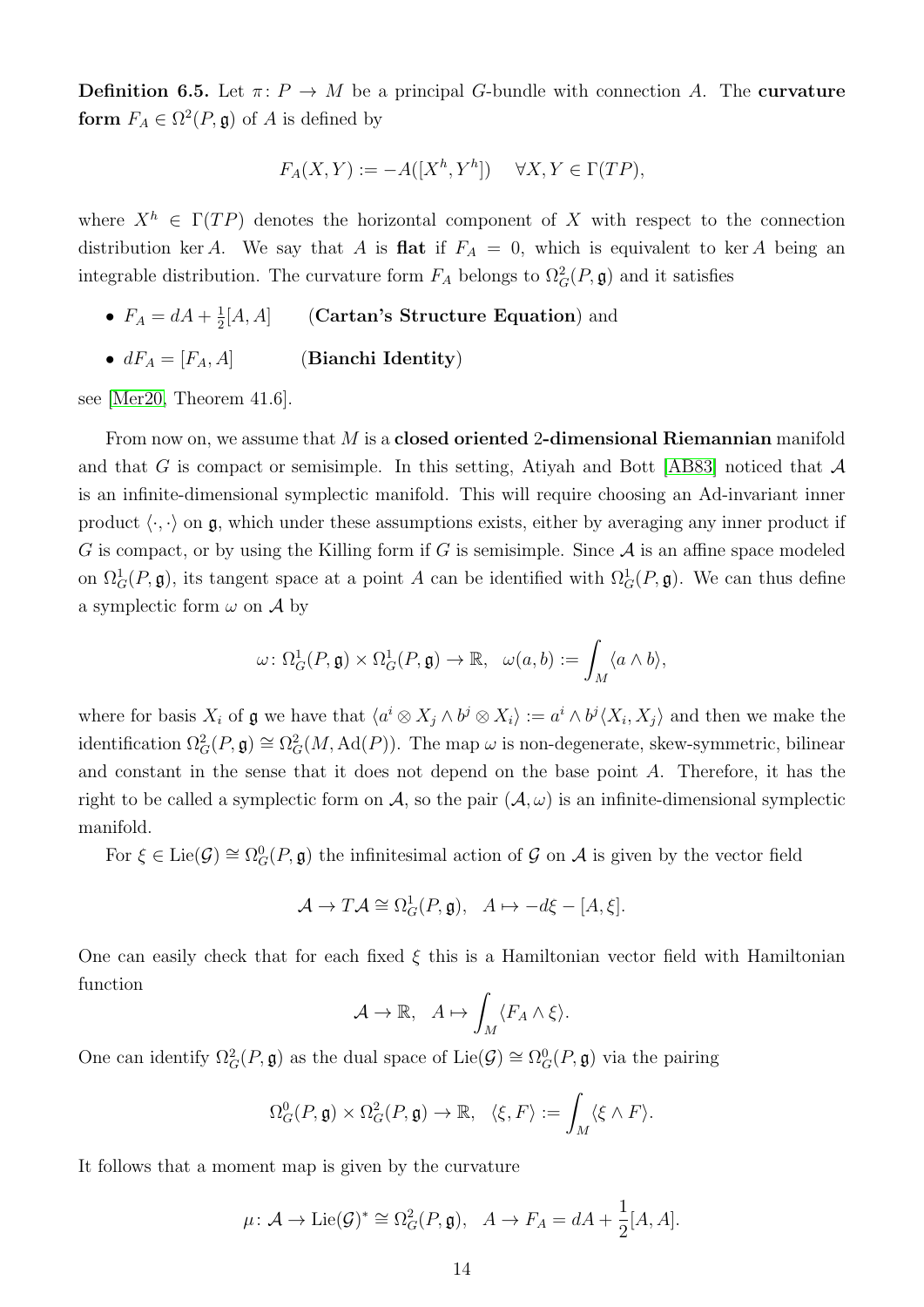**Definition 6.5.** Let  $\pi: P \to M$  be a principal G-bundle with connection A. The curvature form  $F_A \in \Omega^2(P, \mathfrak{g})$  of A is defined by

$$
F_A(X, Y) := -A([X^h, Y^h]) \quad \forall X, Y \in \Gamma(TP),
$$

where  $X^h \in \Gamma(TP)$  denotes the horizontal component of X with respect to the connection distribution ker A. We say that A is **flat** if  $F_A = 0$ , which is equivalent to ker A being an integrable distribution. The curvature form  $F_A$  belongs to  $\Omega_G^2(P, \mathfrak{g})$  and it satisfies

- $F_A = dA + \frac{1}{2}$ 2 (Cartan's Structure Equation) and
- $dF_A = [F_A, A]$  (Bianchi Identity)

see [\[Mer20,](#page-15-1) Theorem 41.6].

From now on, we assume that M is a **closed oriented 2-dimensional Riemannian** manifold and that G is compact or semisimple. In this setting, Atiyah and Bott [\[AB83\]](#page-15-5) noticed that  $\mathcal A$ is an infinite-dimensional symplectic manifold. This will require choosing an Ad-invariant inner product  $\langle \cdot, \cdot \rangle$  on g, which under these assumptions exists, either by averaging any inner product if G is compact, or by using the Killing form if G is semisimple. Since  $A$  is an affine space modeled on  $\Omega_G^1(P, \mathfrak{g})$ , its tangent space at a point A can be identified with  $\Omega_G^1(P, \mathfrak{g})$ . We can thus define a symplectic form  $\omega$  on  $\mathcal A$  by

$$
\omega\colon \Omega_G^1(P,\mathfrak{g})\times \Omega_G^1(P,\mathfrak{g})\to \mathbb{R},\quad \omega(a,b):=\int_M\langle a\wedge b\rangle,
$$

where for basis  $X_i$  of  $\mathfrak g$  we have that  $\langle a^i \otimes X_j \wedge b^j \otimes X_i \rangle := a^i \wedge b^j \langle X_i, X_j \rangle$  and then we make the identification  $\Omega_G^2(P, \mathfrak{g}) \cong \Omega_G^2(M, \text{Ad}(P))$ . The map  $\omega$  is non-degenerate, skew-symmetric, bilinear and constant in the sense that it does not depend on the base point A. Therefore, it has the right to be called a symplectic form on A, so the pair  $(A, \omega)$  is an infinite-dimensional symplectic manifold.

For  $\xi \in \text{Lie}(\mathcal{G}) \cong \Omega^0_G(P, \mathfrak{g})$  the infinitesimal action of  $\mathcal G$  on  $\mathcal A$  is given by the vector field

$$
\mathcal{A} \to T\mathcal{A} \cong \Omega_G^1(P, \mathfrak{g}), \quad A \mapsto -d\xi - [A, \xi].
$$

One can easily check that for each fixed  $\xi$  this is a Hamiltonian vector field with Hamiltonian function

$$
\mathcal{A} \to \mathbb{R}, \quad A \mapsto \int_M \langle F_A \wedge \xi \rangle.
$$

One can identify  $\Omega_G^2(P, \mathfrak{g})$  as the dual space of Lie( $\mathcal{G}$ )  $\cong \Omega_G^0(P, \mathfrak{g})$  via the pairing

$$
\Omega_G^0(P, \mathfrak{g}) \times \Omega_G^2(P, \mathfrak{g}) \to \mathbb{R}, \ \ \langle \xi, F \rangle := \int_M \langle \xi \wedge F \rangle.
$$

It follows that a moment map is given by the curvature

$$
\mu \colon \mathcal{A} \to \mathrm{Lie}(\mathcal{G})^* \cong \Omega^2_G(P, \mathfrak{g}), \quad A \to F_A = dA + \frac{1}{2}[A, A].
$$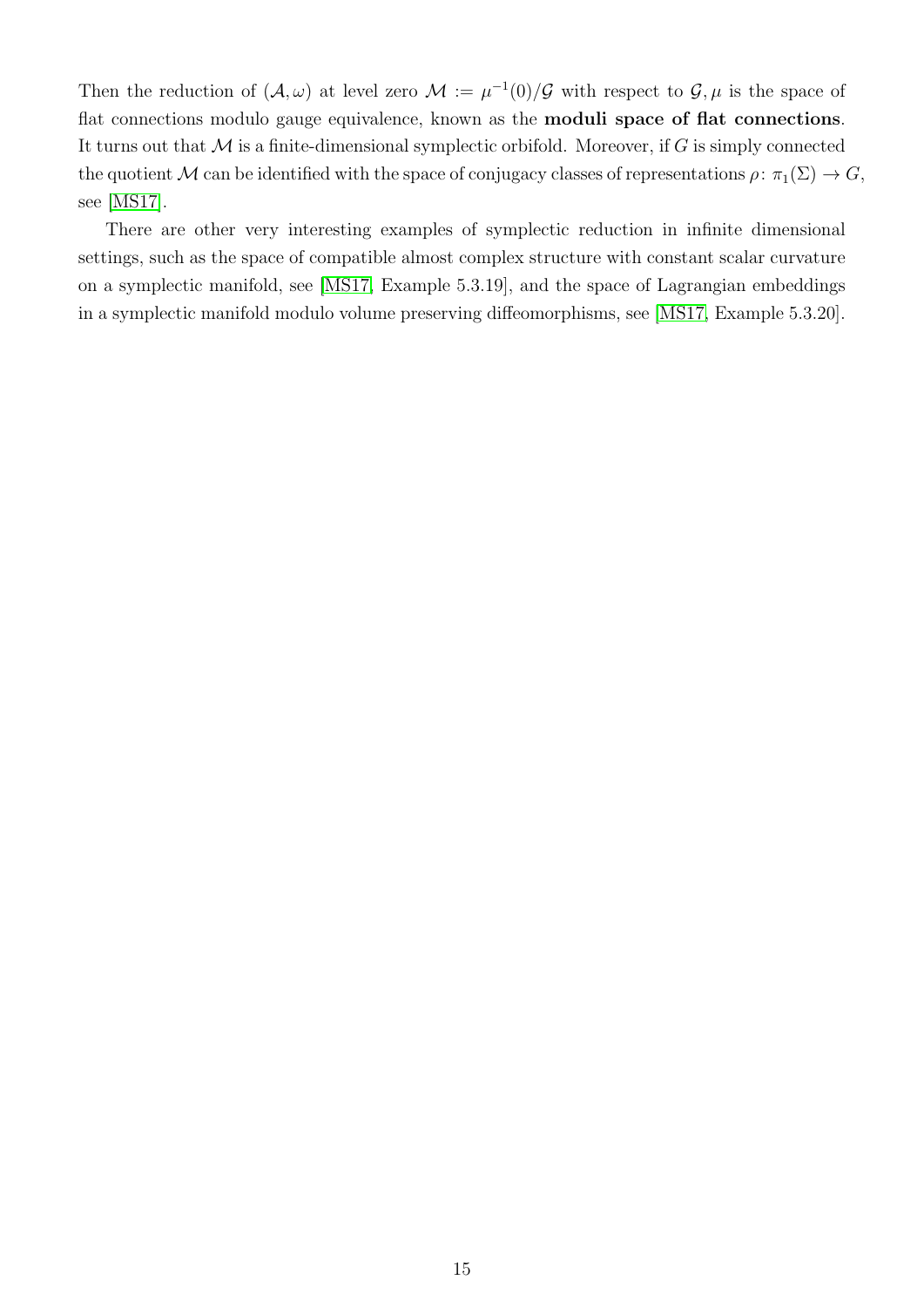Then the reduction of  $(A, \omega)$  at level zero  $\mathcal{M} := \mu^{-1}(0)/\mathcal{G}$  with respect to  $\mathcal{G}, \mu$  is the space of flat connections modulo gauge equivalence, known as the moduli space of flat connections. It turns out that  $M$  is a finite-dimensional symplectic orbifold. Moreover, if  $G$  is simply connected the quotient M can be identified with the space of conjugacy classes of representations  $\rho: \pi_1(\Sigma) \to G$ , see [\[MS17\]](#page-15-4).

There are other very interesting examples of symplectic reduction in infinite dimensional settings, such as the space of compatible almost complex structure with constant scalar curvature on a symplectic manifold, see [\[MS17,](#page-15-4) Example 5.3.19], and the space of Lagrangian embeddings in a symplectic manifold modulo volume preserving diffeomorphisms, see [\[MS17,](#page-15-4) Example 5.3.20].